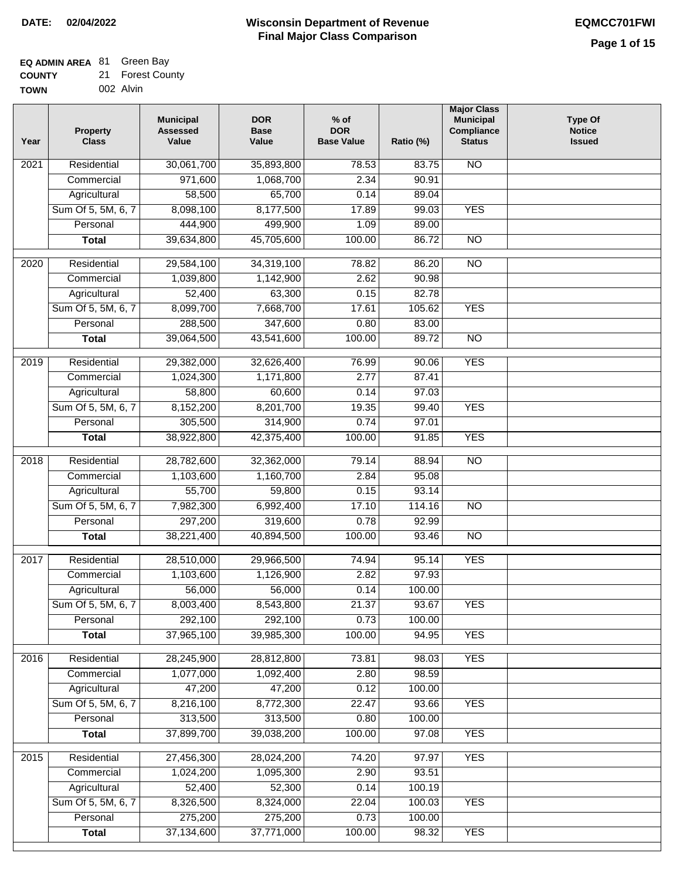## **EQ ADMIN AREA** 81 Green Bay

| <b>COUNTY</b> | 21 Forest County |
|---------------|------------------|
| TOWN          | 002 Alvin        |

| Year              | <b>Property</b><br><b>Class</b> | <b>Municipal</b><br><b>Assessed</b><br>Value | <b>DOR</b><br><b>Base</b><br>Value | $%$ of<br><b>DOR</b><br><b>Base Value</b> | Ratio (%) | <b>Major Class</b><br><b>Municipal</b><br>Compliance<br><b>Status</b> | <b>Type Of</b><br><b>Notice</b><br><b>Issued</b> |
|-------------------|---------------------------------|----------------------------------------------|------------------------------------|-------------------------------------------|-----------|-----------------------------------------------------------------------|--------------------------------------------------|
| 2021              | Residential                     | 30,061,700                                   | 35,893,800                         | 78.53                                     | 83.75     | $\overline{NO}$                                                       |                                                  |
|                   | Commercial                      | 971,600                                      | 1,068,700                          | 2.34                                      | 90.91     |                                                                       |                                                  |
|                   | Agricultural                    | 58,500                                       | 65,700                             | 0.14                                      | 89.04     |                                                                       |                                                  |
|                   | Sum Of 5, 5M, 6, 7              | 8,098,100                                    | 8,177,500                          | 17.89                                     | 99.03     | <b>YES</b>                                                            |                                                  |
|                   | Personal                        | 444,900                                      | 499,900                            | 1.09                                      | 89.00     |                                                                       |                                                  |
|                   | <b>Total</b>                    | 39,634,800                                   | 45,705,600                         | 100.00                                    | 86.72     | $\overline{NO}$                                                       |                                                  |
| $\overline{2020}$ | Residential                     | 29,584,100                                   | 34,319,100                         | 78.82                                     | 86.20     | $\overline{NO}$                                                       |                                                  |
|                   | Commercial                      | 1,039,800                                    | 1,142,900                          | 2.62                                      | 90.98     |                                                                       |                                                  |
|                   | Agricultural                    | 52,400                                       | 63,300                             | 0.15                                      | 82.78     |                                                                       |                                                  |
|                   | Sum Of 5, 5M, 6, 7              | 8,099,700                                    | 7,668,700                          | 17.61                                     | 105.62    | <b>YES</b>                                                            |                                                  |
|                   | Personal                        | 288,500                                      | 347,600                            | 0.80                                      | 83.00     |                                                                       |                                                  |
|                   | <b>Total</b>                    | 39,064,500                                   | 43,541,600                         | 100.00                                    | 89.72     | $\overline{NO}$                                                       |                                                  |
| 2019              | Residential                     | 29,382,000                                   | 32,626,400                         | 76.99                                     | 90.06     | <b>YES</b>                                                            |                                                  |
|                   | Commercial                      | 1,024,300                                    | 1,171,800                          | 2.77                                      | 87.41     |                                                                       |                                                  |
|                   | Agricultural                    | 58,800                                       | 60,600                             | 0.14                                      | 97.03     |                                                                       |                                                  |
|                   | Sum Of 5, 5M, 6, 7              | 8,152,200                                    | 8,201,700                          | 19.35                                     | 99.40     | <b>YES</b>                                                            |                                                  |
|                   | Personal                        | 305,500                                      | 314,900                            | 0.74                                      | 97.01     |                                                                       |                                                  |
|                   | <b>Total</b>                    | 38,922,800                                   | 42,375,400                         | 100.00                                    | 91.85     | <b>YES</b>                                                            |                                                  |
| 2018              | Residential                     | 28,782,600                                   | 32,362,000                         | 79.14                                     | 88.94     | $\overline{NO}$                                                       |                                                  |
|                   | Commercial                      | 1,103,600                                    | 1,160,700                          | 2.84                                      | 95.08     |                                                                       |                                                  |
|                   | Agricultural                    | 55,700                                       | 59,800                             | 0.15                                      | 93.14     |                                                                       |                                                  |
|                   | Sum Of 5, 5M, 6, 7              | 7,982,300                                    | 6,992,400                          | 17.10                                     | 114.16    | <b>NO</b>                                                             |                                                  |
|                   | Personal                        | 297,200                                      | 319,600                            | 0.78                                      | 92.99     |                                                                       |                                                  |
|                   | <b>Total</b>                    | 38,221,400                                   | 40,894,500                         | 100.00                                    | 93.46     | $\overline{NO}$                                                       |                                                  |
| 2017              | Residential                     | 28,510,000                                   | 29,966,500                         | 74.94                                     | 95.14     | <b>YES</b>                                                            |                                                  |
|                   | Commercial                      | 1,103,600                                    | 1,126,900                          | 2.82                                      | 97.93     |                                                                       |                                                  |
|                   | Agricultural                    | 56,000                                       | 56,000                             | 0.14                                      | 100.00    |                                                                       |                                                  |
|                   | Sum Of 5, 5M, 6, 7              | 8,003,400                                    | 8,543,800                          | 21.37                                     | 93.67     | <b>YES</b>                                                            |                                                  |
|                   | Personal                        | 292,100                                      | 292,100                            | 0.73                                      | 100.00    |                                                                       |                                                  |
|                   | <b>Total</b>                    | 37,965,100                                   | 39,985,300                         | 100.00                                    | 94.95     | <b>YES</b>                                                            |                                                  |
| 2016              | Residential                     | 28,245,900                                   | 28,812,800                         | 73.81                                     | 98.03     | <b>YES</b>                                                            |                                                  |
|                   | Commercial                      | 1,077,000                                    | 1,092,400                          | 2.80                                      | 98.59     |                                                                       |                                                  |
|                   | Agricultural                    | 47,200                                       | 47,200                             | 0.12                                      | 100.00    |                                                                       |                                                  |
|                   | Sum Of 5, 5M, 6, 7              | 8,216,100                                    | 8,772,300                          | 22.47                                     | 93.66     | <b>YES</b>                                                            |                                                  |
|                   | Personal                        | 313,500                                      | 313,500                            | 0.80                                      | 100.00    |                                                                       |                                                  |
|                   | <b>Total</b>                    | 37,899,700                                   | 39,038,200                         | 100.00                                    | 97.08     | <b>YES</b>                                                            |                                                  |
| 2015              | Residential                     | 27,456,300                                   | 28,024,200                         | 74.20                                     | 97.97     | <b>YES</b>                                                            |                                                  |
|                   | Commercial                      | 1,024,200                                    | 1,095,300                          | 2.90                                      | 93.51     |                                                                       |                                                  |
|                   | Agricultural                    | 52,400                                       | 52,300                             | 0.14                                      | 100.19    |                                                                       |                                                  |
|                   | Sum Of 5, 5M, 6, 7              | 8,326,500                                    | 8,324,000                          | 22.04                                     | 100.03    | <b>YES</b>                                                            |                                                  |
|                   | Personal                        | 275,200                                      | 275,200                            | 0.73                                      | 100.00    |                                                                       |                                                  |
|                   | <b>Total</b>                    | 37,134,600                                   | 37,771,000                         | 100.00                                    | 98.32     | <b>YES</b>                                                            |                                                  |
|                   |                                 |                                              |                                    |                                           |           |                                                                       |                                                  |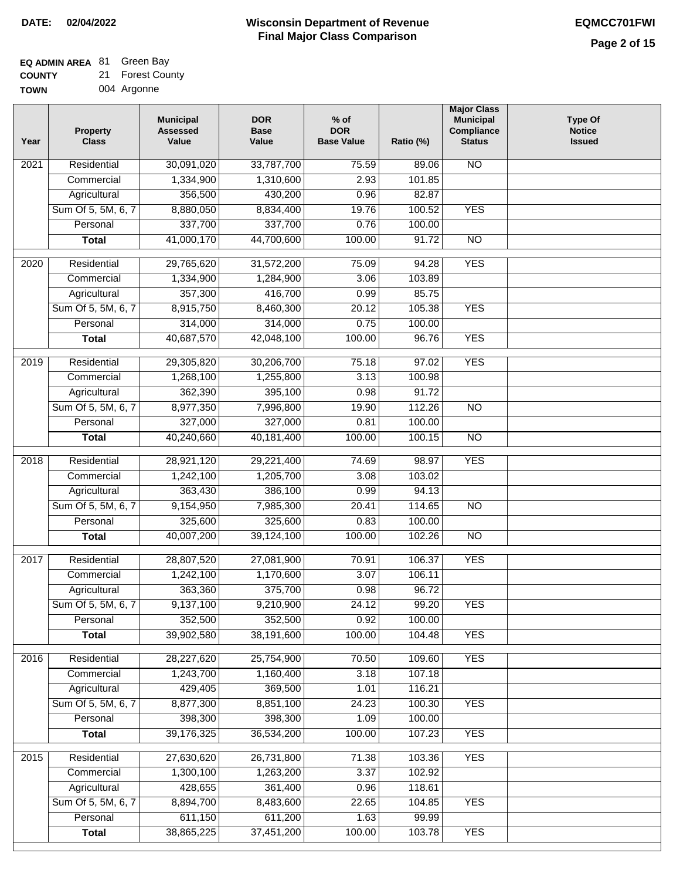# **EQ ADMIN AREA** 81 Green Bay

**COUNTY TOWN** 21 Forest County

|  | 004 Argonne |
|--|-------------|
|--|-------------|

| Year | <b>Property</b><br><b>Class</b> | <b>Municipal</b><br><b>Assessed</b><br>Value | <b>DOR</b><br><b>Base</b><br>Value | $%$ of<br><b>DOR</b><br><b>Base Value</b> | Ratio (%) | <b>Major Class</b><br><b>Municipal</b><br>Compliance<br><b>Status</b> | <b>Type Of</b><br><b>Notice</b><br><b>Issued</b> |
|------|---------------------------------|----------------------------------------------|------------------------------------|-------------------------------------------|-----------|-----------------------------------------------------------------------|--------------------------------------------------|
| 2021 | Residential                     | 30,091,020                                   | 33,787,700                         | 75.59                                     | 89.06     | <b>NO</b>                                                             |                                                  |
|      | Commercial                      | 1,334,900                                    | 1,310,600                          | 2.93                                      | 101.85    |                                                                       |                                                  |
|      | Agricultural                    | 356,500                                      | 430,200                            | 0.96                                      | 82.87     |                                                                       |                                                  |
|      | Sum Of 5, 5M, 6, 7              | 8,880,050                                    | 8,834,400                          | 19.76                                     | 100.52    | <b>YES</b>                                                            |                                                  |
|      | Personal                        | 337,700                                      | 337,700                            | 0.76                                      | 100.00    |                                                                       |                                                  |
|      | <b>Total</b>                    | 41,000,170                                   | 44,700,600                         | 100.00                                    | 91.72     | $\overline{NO}$                                                       |                                                  |
| 2020 | Residential                     | 29,765,620                                   | 31,572,200                         | 75.09                                     | 94.28     | <b>YES</b>                                                            |                                                  |
|      | Commercial                      | 1,334,900                                    | 1,284,900                          | 3.06                                      | 103.89    |                                                                       |                                                  |
|      | Agricultural                    | 357,300                                      | 416,700                            | 0.99                                      | 85.75     |                                                                       |                                                  |
|      | Sum Of 5, 5M, 6, 7              | 8,915,750                                    | 8,460,300                          | 20.12                                     | 105.38    | <b>YES</b>                                                            |                                                  |
|      | Personal                        | 314,000                                      | 314,000                            | 0.75                                      | 100.00    |                                                                       |                                                  |
|      | <b>Total</b>                    | 40,687,570                                   | 42,048,100                         | 100.00                                    | 96.76     | <b>YES</b>                                                            |                                                  |
|      |                                 |                                              |                                    |                                           |           |                                                                       |                                                  |
| 2019 | Residential                     | 29,305,820                                   | 30,206,700                         | 75.18                                     | 97.02     | <b>YES</b>                                                            |                                                  |
|      | Commercial                      | 1,268,100                                    | 1,255,800                          | 3.13                                      | 100.98    |                                                                       |                                                  |
|      | Agricultural                    | 362,390                                      | 395,100                            | 0.98                                      | 91.72     |                                                                       |                                                  |
|      | Sum Of 5, 5M, 6, 7              | 8,977,350                                    | 7,996,800                          | 19.90                                     | 112.26    | $\overline{NO}$                                                       |                                                  |
|      | Personal                        | 327,000                                      | 327,000                            | 0.81                                      | 100.00    |                                                                       |                                                  |
|      | <b>Total</b>                    | 40,240,660                                   | 40,181,400                         | 100.00                                    | 100.15    | $\overline{NO}$                                                       |                                                  |
| 2018 | Residential                     | 28,921,120                                   | 29,221,400                         | 74.69                                     | 98.97     | <b>YES</b>                                                            |                                                  |
|      | Commercial                      | 1,242,100                                    | 1,205,700                          | 3.08                                      | 103.02    |                                                                       |                                                  |
|      | Agricultural                    | 363,430                                      | 386,100                            | 0.99                                      | 94.13     |                                                                       |                                                  |
|      | Sum Of 5, 5M, 6, 7              | 9,154,950                                    | 7,985,300                          | 20.41                                     | 114.65    | <b>NO</b>                                                             |                                                  |
|      | Personal                        | 325,600                                      | 325,600                            | 0.83                                      | 100.00    |                                                                       |                                                  |
|      | <b>Total</b>                    | 40,007,200                                   | 39,124,100                         | 100.00                                    | 102.26    | $\overline{NO}$                                                       |                                                  |
| 2017 | Residential                     | 28,807,520                                   | 27,081,900                         | 70.91                                     | 106.37    | <b>YES</b>                                                            |                                                  |
|      |                                 | 1,242,100                                    |                                    | 3.07                                      | 106.11    |                                                                       |                                                  |
|      | Commercial<br>Agricultural      | 363,360                                      | 1,170,600<br>375,700               | 0.98                                      | 96.72     |                                                                       |                                                  |
|      | Sum Of 5, 5M, 6, 7              | 9,137,100                                    | 9,210,900                          | 24.12                                     | 99.20     | <b>YES</b>                                                            |                                                  |
|      | Personal                        | 352,500                                      | 352,500                            | 0.92                                      | 100.00    |                                                                       |                                                  |
|      | <b>Total</b>                    | 39,902,580                                   | 38,191,600                         | 100.00                                    | 104.48    | <b>YES</b>                                                            |                                                  |
|      |                                 |                                              |                                    |                                           |           |                                                                       |                                                  |
| 2016 | Residential                     | 28,227,620                                   | 25,754,900                         | 70.50                                     | 109.60    | <b>YES</b>                                                            |                                                  |
|      | Commercial                      | 1,243,700                                    | 1,160,400                          | 3.18                                      | 107.18    |                                                                       |                                                  |
|      | Agricultural                    | 429,405                                      | 369,500                            | 1.01                                      | 116.21    |                                                                       |                                                  |
|      | Sum Of 5, 5M, 6, 7              | 8,877,300                                    | 8,851,100                          | 24.23                                     | 100.30    | <b>YES</b>                                                            |                                                  |
|      | Personal                        | 398,300                                      | 398,300                            | 1.09                                      | 100.00    |                                                                       |                                                  |
|      | <b>Total</b>                    | 39,176,325                                   | 36,534,200                         | 100.00                                    | 107.23    | <b>YES</b>                                                            |                                                  |
| 2015 | Residential                     | 27,630,620                                   | 26,731,800                         | 71.38                                     | 103.36    | <b>YES</b>                                                            |                                                  |
|      | Commercial                      | 1,300,100                                    | 1,263,200                          | 3.37                                      | 102.92    |                                                                       |                                                  |
|      | Agricultural                    | 428,655                                      | 361,400                            | 0.96                                      | 118.61    |                                                                       |                                                  |
|      | Sum Of 5, 5M, 6, 7              | 8,894,700                                    | 8,483,600                          | 22.65                                     | 104.85    | <b>YES</b>                                                            |                                                  |
|      | Personal                        | 611,150                                      | 611,200                            | 1.63                                      | 99.99     |                                                                       |                                                  |
|      | <b>Total</b>                    | 38,865,225                                   | 37,451,200                         | 100.00                                    | 103.78    | <b>YES</b>                                                            |                                                  |
|      |                                 |                                              |                                    |                                           |           |                                                                       |                                                  |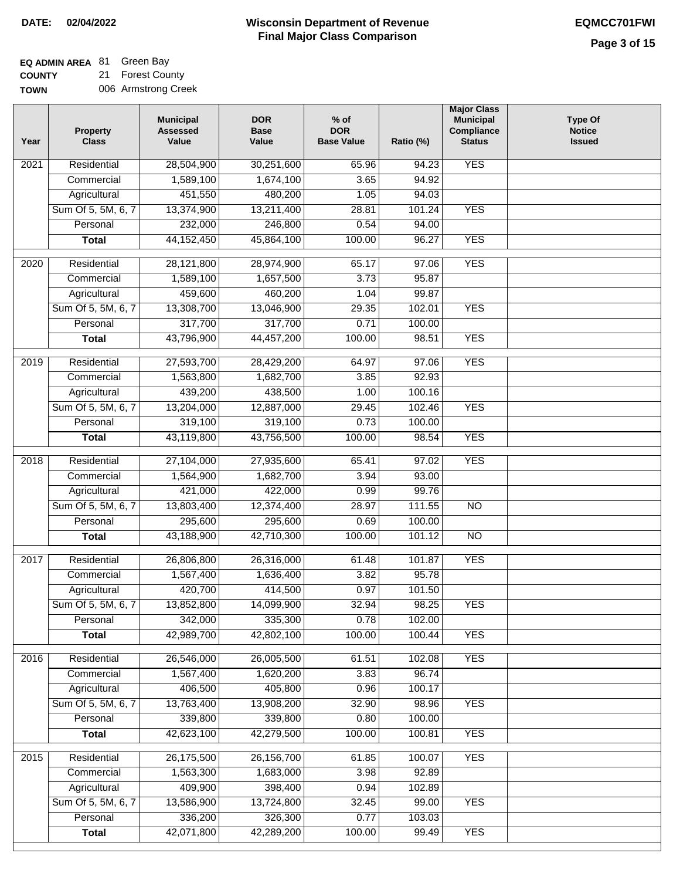#### **EQ ADMIN AREA Green Bay**

**COUNTY TOWN** 21 Forest County 006 Armstrong Creek

| Year | Property<br><b>Class</b> | <b>Municipal</b><br><b>Assessed</b><br>Value | <b>DOR</b><br><b>Base</b><br>Value | $%$ of<br><b>DOR</b><br><b>Base Value</b> | Ratio (%) | <b>Major Class</b><br><b>Municipal</b><br>Compliance<br><b>Status</b> | <b>Type Of</b><br><b>Notice</b><br><b>Issued</b> |
|------|--------------------------|----------------------------------------------|------------------------------------|-------------------------------------------|-----------|-----------------------------------------------------------------------|--------------------------------------------------|
| 2021 | Residential              | 28,504,900                                   | 30,251,600                         | 65.96                                     | 94.23     | <b>YES</b>                                                            |                                                  |
|      | Commercial               | 1,589,100                                    | 1,674,100                          | 3.65                                      | 94.92     |                                                                       |                                                  |
|      | Agricultural             | 451,550                                      | 480,200                            | 1.05                                      | 94.03     |                                                                       |                                                  |
|      | Sum Of 5, 5M, 6, 7       | 13,374,900                                   | 13,211,400                         | 28.81                                     | 101.24    | <b>YES</b>                                                            |                                                  |
|      | Personal                 | 232,000                                      | 246,800                            | 0.54                                      | 94.00     |                                                                       |                                                  |
|      | <b>Total</b>             | 44, 152, 450                                 | 45,864,100                         | 100.00                                    | 96.27     | <b>YES</b>                                                            |                                                  |
| 2020 | Residential              | 28,121,800                                   | 28,974,900                         | 65.17                                     | 97.06     | <b>YES</b>                                                            |                                                  |
|      | Commercial               | 1,589,100                                    | 1,657,500                          | 3.73                                      | 95.87     |                                                                       |                                                  |
|      | Agricultural             | 459,600                                      | 460,200                            | 1.04                                      | 99.87     |                                                                       |                                                  |
|      | Sum Of 5, 5M, 6, 7       | 13,308,700                                   | 13,046,900                         | 29.35                                     | 102.01    | <b>YES</b>                                                            |                                                  |
|      | Personal                 | 317,700                                      | 317,700                            | 0.71                                      | 100.00    |                                                                       |                                                  |
|      | <b>Total</b>             | 43,796,900                                   | 44,457,200                         | 100.00                                    | 98.51     | <b>YES</b>                                                            |                                                  |
| 2019 | Residential              | 27,593,700                                   | 28,429,200                         | 64.97                                     | 97.06     | <b>YES</b>                                                            |                                                  |
|      | Commercial               | 1,563,800                                    | 1,682,700                          | 3.85                                      | 92.93     |                                                                       |                                                  |
|      | Agricultural             | 439,200                                      | 438,500                            | 1.00                                      | 100.16    |                                                                       |                                                  |
|      | Sum Of 5, 5M, 6, 7       | 13,204,000                                   | 12,887,000                         | 29.45                                     | 102.46    | <b>YES</b>                                                            |                                                  |
|      | Personal                 | 319,100                                      | 319,100                            | 0.73                                      | 100.00    |                                                                       |                                                  |
|      | <b>Total</b>             | 43,119,800                                   | 43,756,500                         | 100.00                                    | 98.54     | <b>YES</b>                                                            |                                                  |
| 2018 | Residential              | 27,104,000                                   | 27,935,600                         | 65.41                                     | 97.02     | <b>YES</b>                                                            |                                                  |
|      | Commercial               | 1,564,900                                    | 1,682,700                          | 3.94                                      | 93.00     |                                                                       |                                                  |
|      | Agricultural             | 421,000                                      | 422,000                            | 0.99                                      | 99.76     |                                                                       |                                                  |
|      | Sum Of 5, 5M, 6, 7       | 13,803,400                                   | 12,374,400                         | 28.97                                     | 111.55    | $\overline{10}$                                                       |                                                  |
|      | Personal                 | 295,600                                      | 295,600                            | 0.69                                      | 100.00    |                                                                       |                                                  |
|      | <b>Total</b>             | 43,188,900                                   | 42,710,300                         | 100.00                                    | 101.12    | $\overline{10}$                                                       |                                                  |
| 2017 | Residential              | 26,806,800                                   | 26,316,000                         | 61.48                                     | 101.87    | <b>YES</b>                                                            |                                                  |
|      | Commercial               | 1,567,400                                    | 1,636,400                          | 3.82                                      | 95.78     |                                                                       |                                                  |
|      | Agricultural             | 420,700                                      | 414,500                            | 0.97                                      | 101.50    |                                                                       |                                                  |
|      | Sum Of 5, 5M, 6, 7       | 13,852,800                                   | 14,099,900                         | 32.94                                     | 98.25     | <b>YES</b>                                                            |                                                  |
|      | Personal                 | 342,000                                      | 335,300                            | 0.78                                      | 102.00    |                                                                       |                                                  |
|      | <b>Total</b>             | 42,989,700                                   | 42,802,100                         | 100.00                                    | 100.44    | <b>YES</b>                                                            |                                                  |
| 2016 | Residential              | 26,546,000                                   | 26,005,500                         | 61.51                                     | 102.08    | <b>YES</b>                                                            |                                                  |
|      | Commercial               | 1,567,400                                    | 1,620,200                          | 3.83                                      | 96.74     |                                                                       |                                                  |
|      | Agricultural             | 406,500                                      | 405,800                            | 0.96                                      | 100.17    |                                                                       |                                                  |
|      | Sum Of 5, 5M, 6, 7       | 13,763,400                                   | 13,908,200                         | 32.90                                     | 98.96     | <b>YES</b>                                                            |                                                  |
|      | Personal                 | 339,800                                      | 339,800                            | 0.80                                      | 100.00    |                                                                       |                                                  |
|      | <b>Total</b>             | 42,623,100                                   | 42,279,500                         | 100.00                                    | 100.81    | <b>YES</b>                                                            |                                                  |
| 2015 | Residential              | 26,175,500                                   | 26, 156, 700                       | 61.85                                     | 100.07    | <b>YES</b>                                                            |                                                  |
|      | Commercial               | 1,563,300                                    | 1,683,000                          | 3.98                                      | 92.89     |                                                                       |                                                  |
|      | Agricultural             | 409,900                                      | 398,400                            | 0.94                                      | 102.89    |                                                                       |                                                  |
|      | Sum Of 5, 5M, 6, 7       | 13,586,900                                   | 13,724,800                         | 32.45                                     | 99.00     | <b>YES</b>                                                            |                                                  |
|      | Personal                 | 336,200                                      | 326,300                            | 0.77                                      | 103.03    |                                                                       |                                                  |
|      | <b>Total</b>             | 42,071,800                                   | 42,289,200                         | 100.00                                    | 99.49     | <b>YES</b>                                                            |                                                  |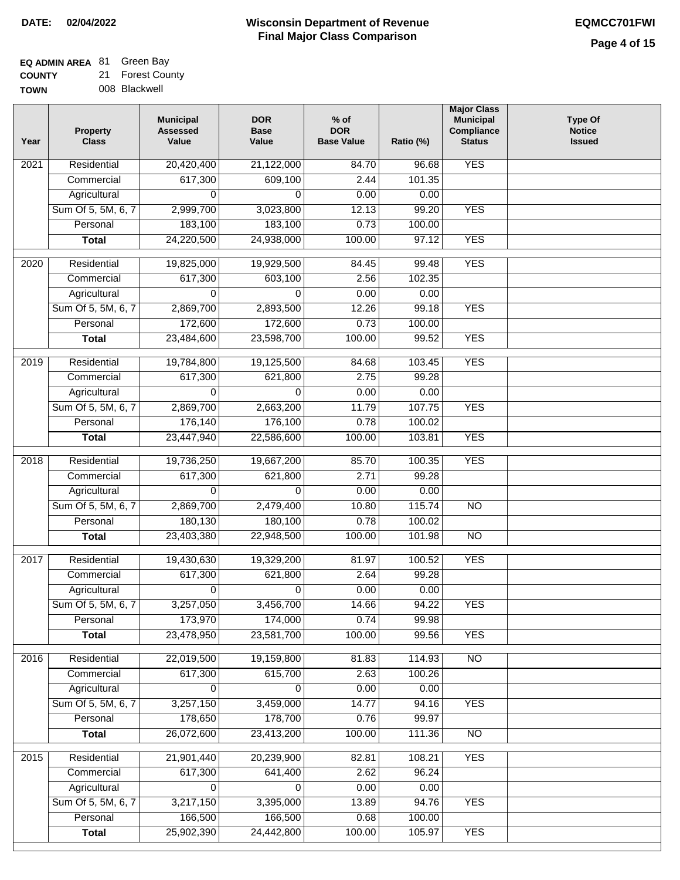## **EQ ADMIN AREA** 81 Green Bay

**COUNTY TOW** 21 Forest County

| NΝ | 008 Blackwell |
|----|---------------|
|    |               |

| Year              | <b>Property</b><br><b>Class</b> | <b>Municipal</b><br><b>Assessed</b><br>Value | <b>DOR</b><br><b>Base</b><br>Value | $%$ of<br><b>DOR</b><br><b>Base Value</b> | Ratio (%)       | <b>Major Class</b><br><b>Municipal</b><br>Compliance<br><b>Status</b> | <b>Type Of</b><br><b>Notice</b><br><b>Issued</b> |
|-------------------|---------------------------------|----------------------------------------------|------------------------------------|-------------------------------------------|-----------------|-----------------------------------------------------------------------|--------------------------------------------------|
| $\overline{202}1$ | Residential                     | 20,420,400                                   | 21,122,000                         | 84.70                                     | 96.68           | <b>YES</b>                                                            |                                                  |
|                   | Commercial                      | 617,300                                      | 609,100                            | 2.44                                      | 101.35          |                                                                       |                                                  |
|                   | Agricultural                    | 0                                            | 0                                  | 0.00                                      | 0.00            |                                                                       |                                                  |
|                   | Sum Of 5, 5M, 6, 7              | 2,999,700                                    | 3,023,800                          | 12.13                                     | 99.20           | <b>YES</b>                                                            |                                                  |
|                   | Personal                        | 183,100                                      | 183,100                            | 0.73                                      | 100.00          |                                                                       |                                                  |
|                   | <b>Total</b>                    | 24,220,500                                   | 24,938,000                         | 100.00                                    | 97.12           | <b>YES</b>                                                            |                                                  |
| $\overline{2020}$ | Residential                     | 19,825,000                                   | 19,929,500                         | 84.45                                     | 99.48           | <b>YES</b>                                                            |                                                  |
|                   | Commercial                      | 617,300                                      | 603,100                            | 2.56                                      | 102.35          |                                                                       |                                                  |
|                   | Agricultural                    | 0                                            | 0                                  | 0.00                                      | 0.00            |                                                                       |                                                  |
|                   | Sum Of 5, 5M, 6, 7              | 2,869,700                                    | 2,893,500                          | 12.26                                     | 99.18           | <b>YES</b>                                                            |                                                  |
|                   | Personal                        | 172,600                                      | 172,600                            | 0.73                                      | 100.00          |                                                                       |                                                  |
|                   | <b>Total</b>                    | 23,484,600                                   | 23,598,700                         | 100.00                                    | 99.52           | <b>YES</b>                                                            |                                                  |
| 2019              | Residential                     | 19,784,800                                   | 19,125,500                         | 84.68                                     | 103.45          | <b>YES</b>                                                            |                                                  |
|                   | Commercial                      | 617,300                                      | 621,800                            | 2.75                                      | 99.28           |                                                                       |                                                  |
|                   | Agricultural                    | 0                                            | 0                                  | 0.00                                      | 0.00            |                                                                       |                                                  |
|                   | Sum Of 5, 5M, 6, 7              | 2,869,700                                    | 2,663,200                          | 11.79                                     | 107.75          | <b>YES</b>                                                            |                                                  |
|                   | Personal                        | 176,140                                      | 176,100                            | 0.78                                      | 100.02          |                                                                       |                                                  |
|                   | <b>Total</b>                    | 23,447,940                                   | 22,586,600                         | 100.00                                    | 103.81          | <b>YES</b>                                                            |                                                  |
|                   |                                 |                                              |                                    |                                           |                 |                                                                       |                                                  |
| 2018              | Residential<br>Commercial       | 19,736,250                                   | 19,667,200<br>621,800              | 85.70<br>2.71                             | 100.35<br>99.28 | <b>YES</b>                                                            |                                                  |
|                   | Agricultural                    | 617,300<br>0                                 | 0                                  | 0.00                                      | 0.00            |                                                                       |                                                  |
|                   | Sum Of 5, 5M, 6, 7              | 2,869,700                                    | 2,479,400                          | 10.80                                     | 115.74          | $\overline{10}$                                                       |                                                  |
|                   | Personal                        | 180,130                                      | 180,100                            | 0.78                                      | 100.02          |                                                                       |                                                  |
|                   | <b>Total</b>                    | 23,403,380                                   | 22,948,500                         | 100.00                                    | 101.98          | <b>NO</b>                                                             |                                                  |
|                   |                                 |                                              |                                    |                                           |                 |                                                                       |                                                  |
| 2017              | Residential                     | 19,430,630                                   | 19,329,200                         | 81.97                                     | 100.52          | <b>YES</b>                                                            |                                                  |
|                   | Commercial                      | 617,300                                      | 621,800                            | 2.64                                      | 99.28           |                                                                       |                                                  |
|                   | Agricultural                    | 0                                            | 0                                  | 0.00                                      | 0.00            |                                                                       |                                                  |
|                   | Sum Of 5, 5M, 6, 7              | 3,257,050                                    | 3,456,700                          | 14.66                                     | 94.22           | <b>YES</b>                                                            |                                                  |
|                   | Personal                        | 173,970                                      | 174,000                            | 0.74                                      | 99.98           |                                                                       |                                                  |
|                   | <b>Total</b>                    | 23,478,950                                   | 23,581,700                         | 100.00                                    | 99.56           | <b>YES</b>                                                            |                                                  |
| 2016              | Residential                     | 22,019,500                                   | 19,159,800                         | 81.83                                     | 114.93          | N <sub>O</sub>                                                        |                                                  |
|                   | Commercial                      | 617,300                                      | 615,700                            | 2.63                                      | 100.26          |                                                                       |                                                  |
|                   | Agricultural                    | 0                                            | 0                                  | 0.00                                      | 0.00            |                                                                       |                                                  |
|                   | Sum Of 5, 5M, 6, 7              | 3,257,150                                    | 3,459,000                          | 14.77                                     | 94.16           | <b>YES</b>                                                            |                                                  |
|                   | Personal                        | 178,650                                      | 178,700                            | 0.76                                      | 99.97           |                                                                       |                                                  |
|                   | <b>Total</b>                    | 26,072,600                                   | 23,413,200                         | 100.00                                    | 111.36          | $\overline{NO}$                                                       |                                                  |
| 2015              | Residential                     | 21,901,440                                   | 20,239,900                         | 82.81                                     | 108.21          | <b>YES</b>                                                            |                                                  |
|                   | Commercial                      | 617,300                                      | 641,400                            | 2.62                                      | 96.24           |                                                                       |                                                  |
|                   | Agricultural                    | 0                                            | 0                                  | 0.00                                      | 0.00            |                                                                       |                                                  |
|                   | Sum Of 5, 5M, 6, 7              | 3,217,150                                    | 3,395,000                          | 13.89                                     | 94.76           | <b>YES</b>                                                            |                                                  |
|                   | Personal                        | 166,500                                      | 166,500                            | 0.68                                      | 100.00          |                                                                       |                                                  |
|                   | <b>Total</b>                    | 25,902,390                                   | 24,442,800                         | 100.00                                    | 105.97          | <b>YES</b>                                                            |                                                  |
|                   |                                 |                                              |                                    |                                           |                 |                                                                       |                                                  |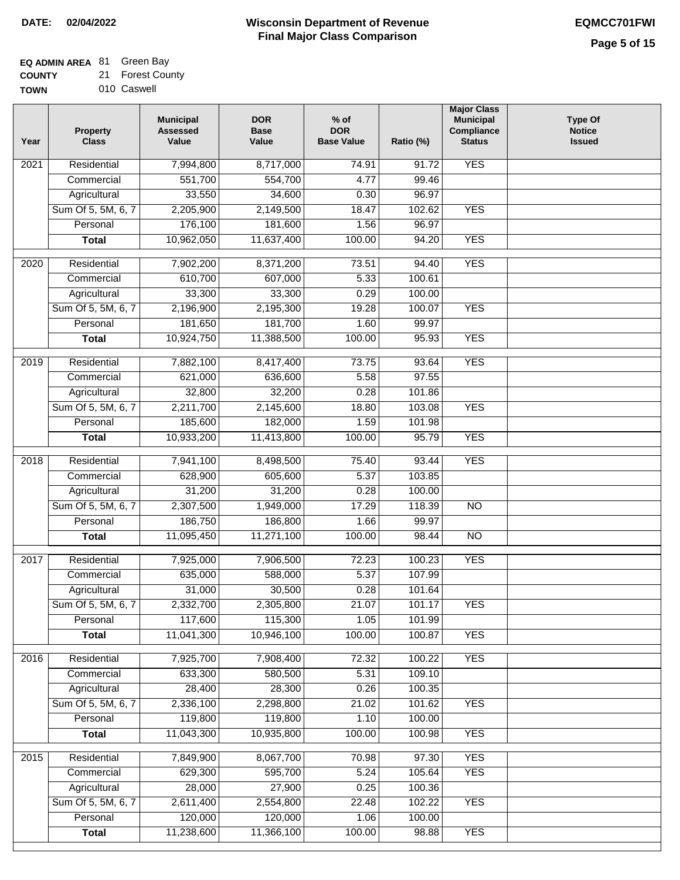## **EQ ADMIN AREA** 81 Green Bay

**COUNTY** 21 Forest County

**TOWN** 010 Caswell

| Year              | <b>Property</b><br><b>Class</b> | <b>Municipal</b><br><b>Assessed</b><br>Value | <b>DOR</b><br><b>Base</b><br>Value | $%$ of<br><b>DOR</b><br><b>Base Value</b> | Ratio (%) | <b>Major Class</b><br><b>Municipal</b><br>Compliance<br><b>Status</b> | <b>Type Of</b><br><b>Notice</b><br><b>Issued</b> |
|-------------------|---------------------------------|----------------------------------------------|------------------------------------|-------------------------------------------|-----------|-----------------------------------------------------------------------|--------------------------------------------------|
| $\overline{202}1$ | Residential                     | 7,994,800                                    | 8,717,000                          | 74.91                                     | 91.72     | <b>YES</b>                                                            |                                                  |
|                   | Commercial                      | 551,700                                      | 554,700                            | 4.77                                      | 99.46     |                                                                       |                                                  |
|                   | Agricultural                    | 33,550                                       | 34,600                             | 0.30                                      | 96.97     |                                                                       |                                                  |
|                   | Sum Of 5, 5M, 6, 7              | 2,205,900                                    | 2,149,500                          | 18.47                                     | 102.62    | <b>YES</b>                                                            |                                                  |
|                   | Personal                        | 176,100                                      | 181,600                            | 1.56                                      | 96.97     |                                                                       |                                                  |
|                   | <b>Total</b>                    | 10,962,050                                   | 11,637,400                         | 100.00                                    | 94.20     | <b>YES</b>                                                            |                                                  |
| $\overline{2020}$ | Residential                     | 7,902,200                                    | 8,371,200                          | 73.51                                     | 94.40     | <b>YES</b>                                                            |                                                  |
|                   | Commercial                      | 610,700                                      | 607,000                            | 5.33                                      | 100.61    |                                                                       |                                                  |
|                   | Agricultural                    | 33,300                                       | 33,300                             | 0.29                                      | 100.00    |                                                                       |                                                  |
|                   | Sum Of 5, 5M, 6, 7              | 2,196,900                                    | 2,195,300                          | 19.28                                     | 100.07    | <b>YES</b>                                                            |                                                  |
|                   | Personal                        | 181,650                                      | 181,700                            | 1.60                                      | 99.97     |                                                                       |                                                  |
|                   | <b>Total</b>                    | 10,924,750                                   | 11,388,500                         | 100.00                                    | 95.93     | <b>YES</b>                                                            |                                                  |
| 2019              | Residential                     | 7,882,100                                    | 8,417,400                          | 73.75                                     | 93.64     | <b>YES</b>                                                            |                                                  |
|                   | Commercial                      | 621,000                                      | 636,600                            | 5.58                                      | 97.55     |                                                                       |                                                  |
|                   | Agricultural                    | 32,800                                       | 32,200                             | 0.28                                      | 101.86    |                                                                       |                                                  |
|                   | Sum Of 5, 5M, 6, 7              | 2,211,700                                    | 2,145,600                          | 18.80                                     | 103.08    | <b>YES</b>                                                            |                                                  |
|                   | Personal                        | 185,600                                      | 182,000                            | 1.59                                      | 101.98    |                                                                       |                                                  |
|                   | <b>Total</b>                    | 10,933,200                                   | 11,413,800                         | 100.00                                    | 95.79     | <b>YES</b>                                                            |                                                  |
| 2018              | Residential                     | 7,941,100                                    | 8,498,500                          | 75.40                                     | 93.44     | <b>YES</b>                                                            |                                                  |
|                   | Commercial                      | 628,900                                      | 605,600                            | 5.37                                      | 103.85    |                                                                       |                                                  |
|                   | Agricultural                    | 31,200                                       | 31,200                             | 0.28                                      | 100.00    |                                                                       |                                                  |
|                   | Sum Of 5, 5M, 6, 7              | 2,307,500                                    | 1,949,000                          | 17.29                                     | 118.39    | $\overline{10}$                                                       |                                                  |
|                   | Personal                        | 186,750                                      | 186,800                            | 1.66                                      | 99.97     |                                                                       |                                                  |
|                   | <b>Total</b>                    | 11,095,450                                   | 11,271,100                         | 100.00                                    | 98.44     | <b>NO</b>                                                             |                                                  |
| 2017              | Residential                     | 7,925,000                                    | 7,906,500                          | 72.23                                     | 100.23    | <b>YES</b>                                                            |                                                  |
|                   | Commercial                      | 635,000                                      | 588,000                            | 5.37                                      | 107.99    |                                                                       |                                                  |
|                   | Agricultural                    | 31,000                                       | 30,500                             | 0.28                                      | 101.64    |                                                                       |                                                  |
|                   | Sum Of 5, 5M, 6, 7              | 2,332,700                                    | 2,305,800                          | 21.07                                     | 101.17    | <b>YES</b>                                                            |                                                  |
|                   | Personal                        | 117,600                                      | 115,300                            | 1.05                                      | 101.99    |                                                                       |                                                  |
|                   | <b>Total</b>                    | 11,041,300                                   | 10,946,100                         | 100.00                                    | 100.87    | <b>YES</b>                                                            |                                                  |
| 2016              | Residential                     | 7,925,700                                    | 7,908,400                          | 72.32                                     | 100.22    | <b>YES</b>                                                            |                                                  |
|                   | Commercial                      | 633,300                                      | 580,500                            | 5.31                                      | 109.10    |                                                                       |                                                  |
|                   | Agricultural                    | 28,400                                       | 28,300                             | 0.26                                      | 100.35    |                                                                       |                                                  |
|                   | Sum Of 5, 5M, 6, 7              | 2,336,100                                    | 2,298,800                          | 21.02                                     | 101.62    | <b>YES</b>                                                            |                                                  |
|                   | Personal                        | 119,800                                      | 119,800                            | 1.10                                      | 100.00    |                                                                       |                                                  |
|                   | <b>Total</b>                    | 11,043,300                                   | 10,935,800                         | 100.00                                    | 100.98    | <b>YES</b>                                                            |                                                  |
| 2015              | Residential                     | 7,849,900                                    | 8,067,700                          | 70.98                                     | 97.30     | <b>YES</b>                                                            |                                                  |
|                   | Commercial                      | 629,300                                      | 595,700                            | 5.24                                      | 105.64    | <b>YES</b>                                                            |                                                  |
|                   | Agricultural                    | 28,000                                       | 27,900                             | 0.25                                      | 100.36    |                                                                       |                                                  |
|                   | Sum Of 5, 5M, 6, 7              | 2,611,400                                    | 2,554,800                          | 22.48                                     | 102.22    | <b>YES</b>                                                            |                                                  |
|                   | Personal                        | 120,000                                      | 120,000                            | 1.06                                      | 100.00    |                                                                       |                                                  |
|                   | <b>Total</b>                    | 11,238,600                                   | 11,366,100                         | 100.00                                    | 98.88     | <b>YES</b>                                                            |                                                  |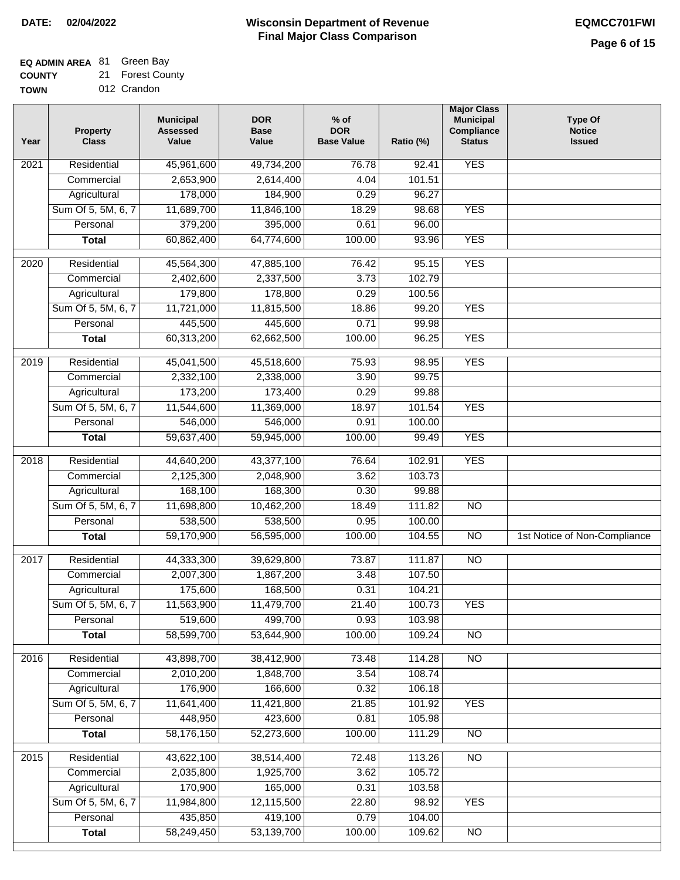## **EQ ADMIN AREA** 81 Green Bay

**COUNTY** 21 Forest County

**TOWN** 012 Crandon

| Year              | <b>Property</b><br><b>Class</b> | <b>Municipal</b><br><b>Assessed</b><br>Value | <b>DOR</b><br><b>Base</b><br>Value | % of<br><b>DOR</b><br><b>Base Value</b> | Ratio (%) | <b>Major Class</b><br><b>Municipal</b><br>Compliance<br><b>Status</b> | <b>Type Of</b><br><b>Notice</b><br><b>Issued</b> |
|-------------------|---------------------------------|----------------------------------------------|------------------------------------|-----------------------------------------|-----------|-----------------------------------------------------------------------|--------------------------------------------------|
| $\overline{202}1$ | Residential                     | 45,961,600                                   | 49,734,200                         | 76.78                                   | 92.41     | <b>YES</b>                                                            |                                                  |
|                   | Commercial                      | 2,653,900                                    | 2,614,400                          | 4.04                                    | 101.51    |                                                                       |                                                  |
|                   | Agricultural                    | 178,000                                      | 184,900                            | 0.29                                    | 96.27     |                                                                       |                                                  |
|                   | Sum Of 5, 5M, 6, 7              | 11,689,700                                   | 11,846,100                         | 18.29                                   | 98.68     | <b>YES</b>                                                            |                                                  |
|                   | Personal                        | 379,200                                      | 395,000                            | 0.61                                    | 96.00     |                                                                       |                                                  |
|                   | <b>Total</b>                    | 60,862,400                                   | 64,774,600                         | 100.00                                  | 93.96     | <b>YES</b>                                                            |                                                  |
| $\overline{2020}$ | Residential                     | 45,564,300                                   | 47,885,100                         | 76.42                                   | 95.15     | <b>YES</b>                                                            |                                                  |
|                   | Commercial                      | 2,402,600                                    | 2,337,500                          | 3.73                                    | 102.79    |                                                                       |                                                  |
|                   | Agricultural                    | 179,800                                      | 178,800                            | 0.29                                    | 100.56    |                                                                       |                                                  |
|                   | Sum Of 5, 5M, 6, 7              | 11,721,000                                   | 11,815,500                         | 18.86                                   | 99.20     | <b>YES</b>                                                            |                                                  |
|                   | Personal                        | 445,500                                      | 445,600                            | 0.71                                    | 99.98     |                                                                       |                                                  |
|                   | <b>Total</b>                    | 60,313,200                                   | 62,662,500                         | 100.00                                  | 96.25     | <b>YES</b>                                                            |                                                  |
| 2019              | Residential                     | 45,041,500                                   | 45,518,600                         | 75.93                                   | 98.95     | <b>YES</b>                                                            |                                                  |
|                   | Commercial                      | 2,332,100                                    | 2,338,000                          | 3.90                                    | 99.75     |                                                                       |                                                  |
|                   | Agricultural                    | 173,200                                      | 173,400                            | 0.29                                    | 99.88     |                                                                       |                                                  |
|                   | Sum Of 5, 5M, 6, 7              | 11,544,600                                   | 11,369,000                         | 18.97                                   | 101.54    | <b>YES</b>                                                            |                                                  |
|                   | Personal                        | 546,000                                      | 546,000                            | 0.91                                    | 100.00    |                                                                       |                                                  |
|                   | <b>Total</b>                    | 59,637,400                                   | 59,945,000                         | 100.00                                  | 99.49     | <b>YES</b>                                                            |                                                  |
|                   |                                 |                                              |                                    |                                         |           |                                                                       |                                                  |
| 2018              | Residential                     | 44,640,200                                   | 43,377,100                         | 76.64                                   | 102.91    | <b>YES</b>                                                            |                                                  |
|                   | Commercial                      | 2,125,300                                    | 2,048,900                          | 3.62                                    | 103.73    |                                                                       |                                                  |
|                   | Agricultural                    | 168,100                                      | 168,300                            | 0.30                                    | 99.88     |                                                                       |                                                  |
|                   | Sum Of 5, 5M, 6, 7              | 11,698,800                                   | 10,462,200                         | 18.49                                   | 111.82    | $\overline{3}$                                                        |                                                  |
|                   | Personal                        | 538,500                                      | 538,500                            | 0.95                                    | 100.00    |                                                                       |                                                  |
|                   | <b>Total</b>                    | 59,170,900                                   | 56,595,000                         | 100.00                                  | 104.55    | $\overline{10}$                                                       | 1st Notice of Non-Compliance                     |
| $\overline{2017}$ | Residential                     | 44,333,300                                   | 39,629,800                         | 73.87                                   | 111.87    | $\overline{NO}$                                                       |                                                  |
|                   | Commercial                      | 2,007,300                                    | 1,867,200                          | 3.48                                    | 107.50    |                                                                       |                                                  |
|                   | Agricultural                    | 175,600                                      | 168,500                            | 0.31                                    | 104.21    |                                                                       |                                                  |
|                   | Sum Of 5, 5M, 6, 7              | 11,563,900                                   | 11,479,700                         | 21.40                                   | 100.73    | <b>YES</b>                                                            |                                                  |
|                   | Personal                        | 519,600                                      | 499,700                            | 0.93                                    | 103.98    |                                                                       |                                                  |
|                   | <b>Total</b>                    | 58,599,700                                   | 53,644,900                         | 100.00                                  | 109.24    | <b>NO</b>                                                             |                                                  |
| 2016              | Residential                     | 43,898,700                                   | 38,412,900                         | 73.48                                   | 114.28    | N <sub>O</sub>                                                        |                                                  |
|                   | Commercial                      | 2,010,200                                    | 1,848,700                          | 3.54                                    | 108.74    |                                                                       |                                                  |
|                   | Agricultural                    | 176,900                                      | 166,600                            | 0.32                                    | 106.18    |                                                                       |                                                  |
|                   | Sum Of 5, 5M, 6, 7              | 11,641,400                                   | 11,421,800                         | 21.85                                   | 101.92    | <b>YES</b>                                                            |                                                  |
|                   | Personal                        | 448,950                                      | 423,600                            | 0.81                                    | 105.98    |                                                                       |                                                  |
|                   | <b>Total</b>                    | 58,176,150                                   | 52,273,600                         | 100.00                                  | 111.29    | $\overline{NO}$                                                       |                                                  |
| 2015              | Residential                     | 43,622,100                                   | 38,514,400                         | 72.48                                   | 113.26    | N <sub>O</sub>                                                        |                                                  |
|                   | Commercial                      | 2,035,800                                    | 1,925,700                          | 3.62                                    | 105.72    |                                                                       |                                                  |
|                   | Agricultural                    | 170,900                                      | 165,000                            | 0.31                                    | 103.58    |                                                                       |                                                  |
|                   | Sum Of 5, 5M, 6, 7              | 11,984,800                                   | 12,115,500                         | 22.80                                   | 98.92     | <b>YES</b>                                                            |                                                  |
|                   | Personal                        | 435,850                                      | 419,100                            | 0.79                                    | 104.00    |                                                                       |                                                  |
|                   | <b>Total</b>                    | 58,249,450                                   | 53,139,700                         | 100.00                                  | 109.62    | N <sub>O</sub>                                                        |                                                  |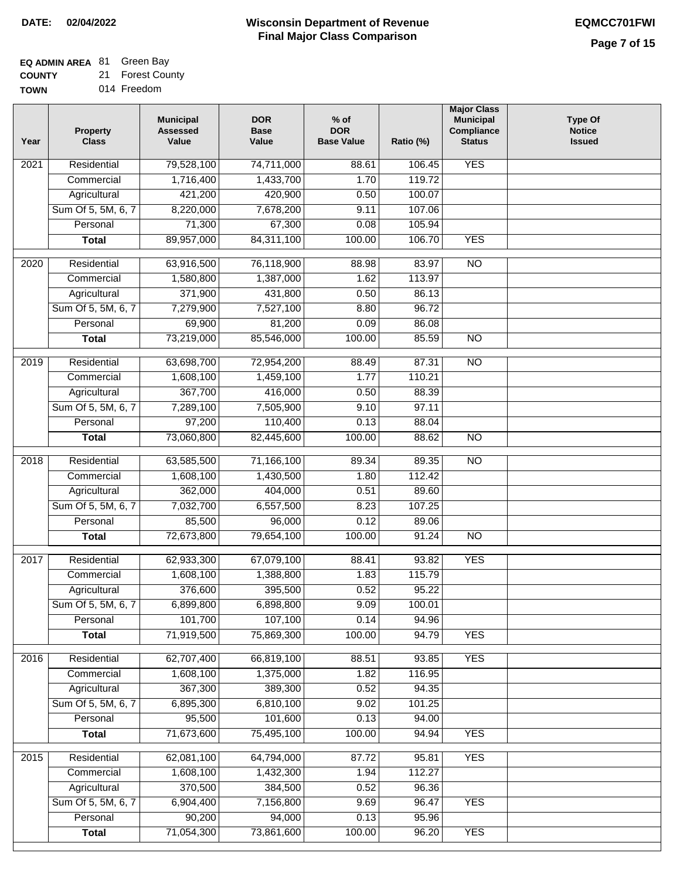## **EQ ADMIN AREA** 81 Green Bay

**COUNTY TOWN** 21 Forest County

014 Freedom

| Year              | <b>Property</b><br><b>Class</b> | <b>Municipal</b><br><b>Assessed</b><br>Value | <b>DOR</b><br><b>Base</b><br>Value | $%$ of<br><b>DOR</b><br><b>Base Value</b> | Ratio (%) | <b>Major Class</b><br><b>Municipal</b><br>Compliance<br><b>Status</b> | <b>Type Of</b><br><b>Notice</b><br><b>Issued</b> |
|-------------------|---------------------------------|----------------------------------------------|------------------------------------|-------------------------------------------|-----------|-----------------------------------------------------------------------|--------------------------------------------------|
| $\overline{202}1$ | Residential                     | 79,528,100                                   | 74,711,000                         | 88.61                                     | 106.45    | <b>YES</b>                                                            |                                                  |
|                   | Commercial                      | 1,716,400                                    | 1,433,700                          | 1.70                                      | 119.72    |                                                                       |                                                  |
|                   | Agricultural                    | 421,200                                      | 420,900                            | 0.50                                      | 100.07    |                                                                       |                                                  |
|                   | Sum Of 5, 5M, 6, 7              | 8,220,000                                    | 7,678,200                          | 9.11                                      | 107.06    |                                                                       |                                                  |
|                   | Personal                        | 71,300                                       | 67,300                             | 0.08                                      | 105.94    |                                                                       |                                                  |
|                   | <b>Total</b>                    | 89,957,000                                   | 84,311,100                         | 100.00                                    | 106.70    | <b>YES</b>                                                            |                                                  |
| $\overline{2020}$ | Residential                     | 63,916,500                                   | 76,118,900                         | 88.98                                     | 83.97     | $\overline{10}$                                                       |                                                  |
|                   | Commercial                      | 1,580,800                                    | 1,387,000                          | 1.62                                      | 113.97    |                                                                       |                                                  |
|                   | Agricultural                    | 371,900                                      | 431,800                            | 0.50                                      | 86.13     |                                                                       |                                                  |
|                   | Sum Of 5, 5M, 6, 7              | 7,279,900                                    | 7,527,100                          | 8.80                                      | 96.72     |                                                                       |                                                  |
|                   | Personal                        | 69,900                                       | 81,200                             | 0.09                                      | 86.08     |                                                                       |                                                  |
|                   | <b>Total</b>                    | 73,219,000                                   | 85,546,000                         | 100.00                                    | 85.59     | $\overline{NO}$                                                       |                                                  |
|                   |                                 |                                              |                                    |                                           |           |                                                                       |                                                  |
| 2019              | Residential                     | 63,698,700                                   | 72,954,200                         | 88.49                                     | 87.31     | $\overline{NO}$                                                       |                                                  |
|                   | Commercial                      | 1,608,100                                    | 1,459,100                          | 1.77                                      | 110.21    |                                                                       |                                                  |
|                   | Agricultural                    | 367,700                                      | 416,000                            | 0.50                                      | 88.39     |                                                                       |                                                  |
|                   | Sum Of 5, 5M, 6, 7              | 7,289,100                                    | 7,505,900                          | 9.10                                      | 97.11     |                                                                       |                                                  |
|                   | Personal                        | 97,200                                       | 110,400                            | 0.13                                      | 88.04     |                                                                       |                                                  |
|                   | <b>Total</b>                    | 73,060,800                                   | 82,445,600                         | 100.00                                    | 88.62     | $\overline{NO}$                                                       |                                                  |
| 2018              | Residential                     | 63,585,500                                   | 71,166,100                         | 89.34                                     | 89.35     | N <sub>O</sub>                                                        |                                                  |
|                   | Commercial                      | 1,608,100                                    | 1,430,500                          | 1.80                                      | 112.42    |                                                                       |                                                  |
|                   | Agricultural                    | 362,000                                      | 404,000                            | 0.51                                      | 89.60     |                                                                       |                                                  |
|                   | Sum Of 5, 5M, 6, 7              | 7,032,700                                    | 6,557,500                          | 8.23                                      | 107.25    |                                                                       |                                                  |
|                   | Personal                        | 85,500                                       | 96,000                             | 0.12                                      | 89.06     |                                                                       |                                                  |
|                   | <b>Total</b>                    | 72,673,800                                   | 79,654,100                         | 100.00                                    | 91.24     | <b>NO</b>                                                             |                                                  |
| $\overline{2017}$ | Residential                     | 62,933,300                                   | 67,079,100                         | 88.41                                     | 93.82     | <b>YES</b>                                                            |                                                  |
|                   | Commercial                      | 1,608,100                                    | 1,388,800                          | 1.83                                      | 115.79    |                                                                       |                                                  |
|                   | Agricultural                    | 376,600                                      | 395,500                            | 0.52                                      | 95.22     |                                                                       |                                                  |
|                   | Sum Of 5, 5M, 6, 7              | 6,899,800                                    | 6,898,800                          | 9.09                                      | 100.01    |                                                                       |                                                  |
|                   | Personal                        | 101,700                                      | 107,100                            | 0.14                                      | 94.96     |                                                                       |                                                  |
|                   | <b>Total</b>                    | 71,919,500                                   | 75,869,300                         | 100.00                                    | 94.79     | <b>YES</b>                                                            |                                                  |
| 2016              | Residential                     | 62,707,400                                   | 66,819,100                         | 88.51                                     | 93.85     | <b>YES</b>                                                            |                                                  |
|                   | Commercial                      | 1,608,100                                    | 1,375,000                          | 1.82                                      | 116.95    |                                                                       |                                                  |
|                   | Agricultural                    | 367,300                                      | 389,300                            | 0.52                                      | 94.35     |                                                                       |                                                  |
|                   | Sum Of 5, 5M, 6, 7              | 6,895,300                                    | 6,810,100                          | 9.02                                      | 101.25    |                                                                       |                                                  |
|                   | Personal                        | 95,500                                       | 101,600                            | 0.13                                      | 94.00     |                                                                       |                                                  |
|                   | <b>Total</b>                    | 71,673,600                                   | 75,495,100                         | 100.00                                    | 94.94     | <b>YES</b>                                                            |                                                  |
| 2015              | Residential                     | 62,081,100                                   | 64,794,000                         | 87.72                                     | 95.81     | <b>YES</b>                                                            |                                                  |
|                   | Commercial                      | 1,608,100                                    | 1,432,300                          | 1.94                                      | 112.27    |                                                                       |                                                  |
|                   | Agricultural                    | 370,500                                      | 384,500                            | 0.52                                      | 96.36     |                                                                       |                                                  |
|                   | Sum Of 5, 5M, 6, 7              | 6,904,400                                    | 7,156,800                          | 9.69                                      | 96.47     | <b>YES</b>                                                            |                                                  |
|                   | Personal                        | 90,200                                       | 94,000                             | 0.13                                      | 95.96     |                                                                       |                                                  |
|                   | <b>Total</b>                    | 71,054,300                                   | 73,861,600                         | 100.00                                    | 96.20     | <b>YES</b>                                                            |                                                  |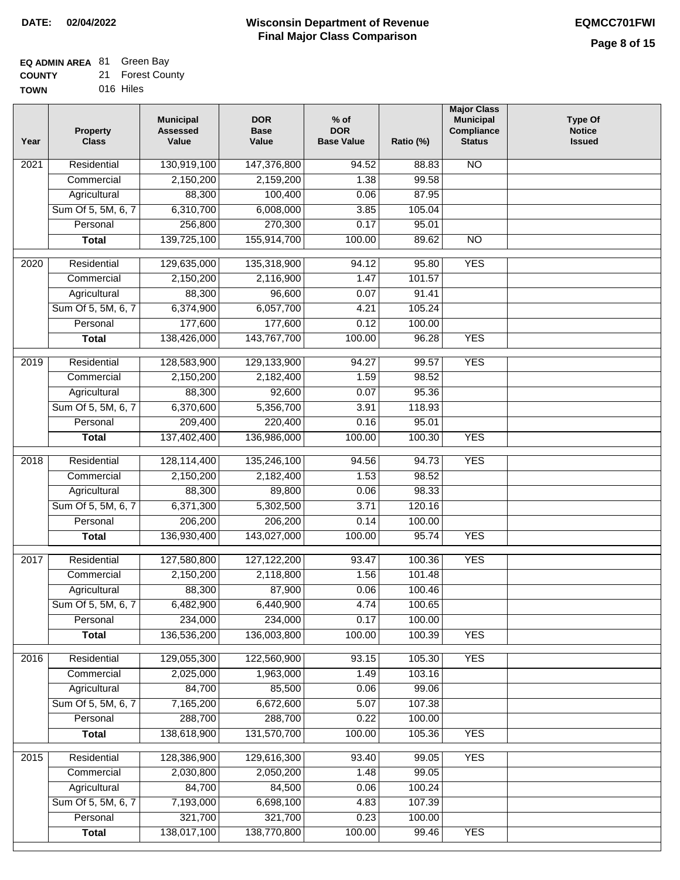#### **EQ ADMIN AREA** 81 Green Bay

| <b>COUNTY</b> | 21 Forest County |
|---------------|------------------|
| TOWN          | 016 Hiles        |

| Year              | <b>Property</b><br><b>Class</b> | <b>Municipal</b><br><b>Assessed</b><br>Value | <b>DOR</b><br><b>Base</b><br>Value | $%$ of<br><b>DOR</b><br><b>Base Value</b> | Ratio (%)        | <b>Major Class</b><br><b>Municipal</b><br>Compliance<br><b>Status</b> | <b>Type Of</b><br><b>Notice</b><br><b>Issued</b> |
|-------------------|---------------------------------|----------------------------------------------|------------------------------------|-------------------------------------------|------------------|-----------------------------------------------------------------------|--------------------------------------------------|
| 2021              | Residential                     | 130,919,100                                  | 147,376,800                        | 94.52                                     | 88.83            | $\overline{NO}$                                                       |                                                  |
|                   | Commercial                      | 2,150,200                                    | 2,159,200                          | 1.38                                      | 99.58            |                                                                       |                                                  |
|                   | Agricultural                    | 88,300                                       | 100,400                            | 0.06                                      | 87.95            |                                                                       |                                                  |
|                   | Sum Of 5, 5M, 6, 7              | 6,310,700                                    | 6,008,000                          | 3.85                                      | 105.04           |                                                                       |                                                  |
|                   | Personal                        | 256,800                                      | 270,300                            | 0.17                                      | 95.01            |                                                                       |                                                  |
|                   | <b>Total</b>                    | 139,725,100                                  | 155,914,700                        | 100.00                                    | 89.62            | $\overline{NO}$                                                       |                                                  |
|                   |                                 |                                              |                                    |                                           |                  |                                                                       |                                                  |
| $\overline{2020}$ | Residential                     | 129,635,000                                  | 135,318,900                        | 94.12                                     | 95.80            | <b>YES</b>                                                            |                                                  |
|                   | Commercial                      | 2,150,200                                    | 2,116,900                          | 1.47                                      | 101.57           |                                                                       |                                                  |
|                   | Agricultural                    | 88,300                                       | 96,600                             | 0.07                                      | 91.41            |                                                                       |                                                  |
|                   | Sum Of 5, 5M, 6, 7              | 6,374,900                                    | 6,057,700                          | 4.21                                      | 105.24           |                                                                       |                                                  |
|                   | Personal                        | 177,600                                      | 177,600                            | 0.12                                      | 100.00           |                                                                       |                                                  |
|                   | <b>Total</b>                    | 138,426,000                                  | 143,767,700                        | 100.00                                    | 96.28            | <b>YES</b>                                                            |                                                  |
| 2019              | Residential                     | 128,583,900                                  | 129,133,900                        | 94.27                                     | 99.57            | <b>YES</b>                                                            |                                                  |
|                   | Commercial                      | 2,150,200                                    | 2,182,400                          | 1.59                                      | 98.52            |                                                                       |                                                  |
|                   | Agricultural                    | 88,300                                       | 92,600                             | 0.07                                      | 95.36            |                                                                       |                                                  |
|                   | Sum Of 5, 5M, 6, 7              | 6,370,600                                    | 5,356,700                          | 3.91                                      | 118.93           |                                                                       |                                                  |
|                   | Personal                        | 209,400                                      | 220,400                            | 0.16                                      | 95.01            |                                                                       |                                                  |
|                   | <b>Total</b>                    | 137,402,400                                  | 136,986,000                        | 100.00                                    | 100.30           | <b>YES</b>                                                            |                                                  |
| 2018              | Residential                     | 128,114,400                                  | 135,246,100                        | 94.56                                     | 94.73            | <b>YES</b>                                                            |                                                  |
|                   | Commercial                      | 2,150,200                                    | 2,182,400                          | 1.53                                      | 98.52            |                                                                       |                                                  |
|                   | Agricultural                    | 88,300                                       | 89,800                             | 0.06                                      | 98.33            |                                                                       |                                                  |
|                   | Sum Of 5, 5M, 6, 7              | 6,371,300                                    | 5,302,500                          | 3.71                                      | 120.16           |                                                                       |                                                  |
|                   | Personal                        | 206,200                                      | 206,200                            | 0.14                                      | 100.00           |                                                                       |                                                  |
|                   | <b>Total</b>                    | 136,930,400                                  | 143,027,000                        | 100.00                                    | 95.74            | <b>YES</b>                                                            |                                                  |
|                   |                                 |                                              |                                    |                                           |                  |                                                                       |                                                  |
| 2017              | Residential                     | 127,580,800                                  | 127, 122, 200                      | 93.47                                     | 100.36           | <b>YES</b>                                                            |                                                  |
|                   | Commercial                      | 2,150,200                                    | 2,118,800                          | 1.56                                      | 101.48           |                                                                       |                                                  |
|                   | Agricultural                    | 88,300                                       | 87,900<br>6,440,900                | 0.06                                      | 100.46<br>100.65 |                                                                       |                                                  |
|                   | Sum Of 5, 5M, 6, 7<br>Personal  | 6,482,900<br>234,000                         |                                    | 4.74                                      | 100.00           |                                                                       |                                                  |
|                   | <b>Total</b>                    | 136,536,200                                  | 234,000<br>136,003,800             | 0.17<br>100.00                            | 100.39           | <b>YES</b>                                                            |                                                  |
|                   |                                 |                                              |                                    |                                           |                  |                                                                       |                                                  |
| 2016              | Residential                     | 129,055,300                                  | 122,560,900                        | 93.15                                     | 105.30           | <b>YES</b>                                                            |                                                  |
|                   | Commercial                      | 2,025,000                                    | 1,963,000                          | 1.49                                      | 103.16           |                                                                       |                                                  |
|                   | Agricultural                    | 84,700                                       | 85,500                             | 0.06                                      | 99.06            |                                                                       |                                                  |
|                   | Sum Of 5, 5M, 6, 7              | 7,165,200                                    | 6,672,600                          | 5.07                                      | 107.38           |                                                                       |                                                  |
|                   | Personal                        | 288,700                                      | 288,700                            | 0.22                                      | 100.00           |                                                                       |                                                  |
|                   | <b>Total</b>                    | 138,618,900                                  | 131,570,700                        | 100.00                                    | 105.36           | <b>YES</b>                                                            |                                                  |
| 2015              | Residential                     | 128,386,900                                  | 129,616,300                        | 93.40                                     | 99.05            | <b>YES</b>                                                            |                                                  |
|                   | Commercial                      | 2,030,800                                    | 2,050,200                          | 1.48                                      | 99.05            |                                                                       |                                                  |
|                   | Agricultural                    | 84,700                                       | 84,500                             | 0.06                                      | 100.24           |                                                                       |                                                  |
|                   | Sum Of 5, 5M, 6, 7              | 7,193,000                                    | 6,698,100                          | 4.83                                      | 107.39           |                                                                       |                                                  |
|                   | Personal                        | 321,700                                      | 321,700                            | 0.23                                      | 100.00           |                                                                       |                                                  |
|                   | <b>Total</b>                    | 138,017,100                                  | 138,770,800                        | 100.00                                    | 99.46            | <b>YES</b>                                                            |                                                  |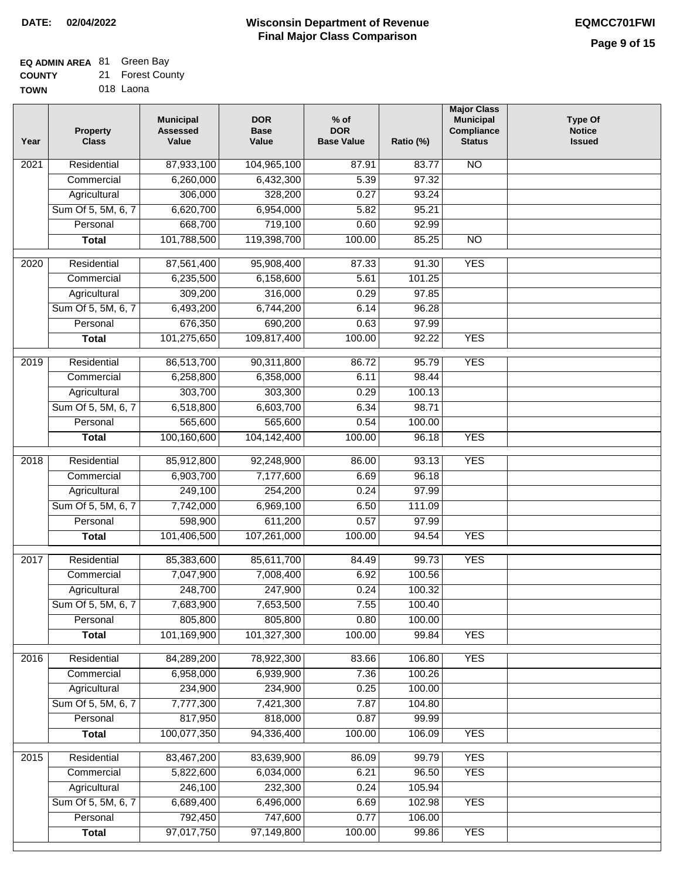## **Wisconsin Department of Revenue Final Major Class Comparison DATE: 02/04/2022 EQMCC701FWI**

## **EQ ADMIN AREA** 81 Green Bay

| <b>COUNTY</b> | 21 Forest County |
|---------------|------------------|
| TOWN          | 018 Laona        |

| Year              | Property<br><b>Class</b>   | <b>Municipal</b><br><b>Assessed</b><br>Value | <b>DOR</b><br><b>Base</b><br>Value | $%$ of<br><b>DOR</b><br><b>Base Value</b> | Ratio (%)       | <b>Major Class</b><br><b>Municipal</b><br><b>Compliance</b><br><b>Status</b> | <b>Type Of</b><br><b>Notice</b><br><b>Issued</b> |
|-------------------|----------------------------|----------------------------------------------|------------------------------------|-------------------------------------------|-----------------|------------------------------------------------------------------------------|--------------------------------------------------|
| 2021              | Residential                | 87,933,100                                   | 104,965,100                        | 87.91                                     | 83.77           | <b>NO</b>                                                                    |                                                  |
|                   | Commercial                 | 6,260,000                                    | 6,432,300                          | 5.39                                      | 97.32           |                                                                              |                                                  |
|                   | Agricultural               | 306,000                                      | 328,200                            | 0.27                                      | 93.24           |                                                                              |                                                  |
|                   | Sum Of 5, 5M, 6, 7         | 6,620,700                                    | 6,954,000                          | 5.82                                      | 95.21           |                                                                              |                                                  |
|                   | Personal                   | 668,700                                      | 719,100                            | 0.60                                      | 92.99           |                                                                              |                                                  |
|                   | <b>Total</b>               | 101,788,500                                  | 119,398,700                        | 100.00                                    | 85.25           | $\overline{NO}$                                                              |                                                  |
| $\overline{20}20$ | Residential                | 87,561,400                                   | 95,908,400                         | 87.33                                     | 91.30           | <b>YES</b>                                                                   |                                                  |
|                   | Commercial                 | 6,235,500                                    | 6,158,600                          | 5.61                                      | 101.25          |                                                                              |                                                  |
|                   | Agricultural               | 309,200                                      | 316,000                            | 0.29                                      | 97.85           |                                                                              |                                                  |
|                   | Sum Of 5, 5M, 6, 7         | 6,493,200                                    | 6,744,200                          | 6.14                                      | 96.28           |                                                                              |                                                  |
|                   | Personal                   | 676,350                                      | 690,200                            | 0.63                                      | 97.99           |                                                                              |                                                  |
|                   | <b>Total</b>               | 101,275,650                                  | 109,817,400                        | 100.00                                    | 92.22           | <b>YES</b>                                                                   |                                                  |
| $\frac{2019}{ }$  | Residential                | 86,513,700                                   | 90,311,800                         | 86.72                                     | 95.79           | <b>YES</b>                                                                   |                                                  |
|                   | Commercial                 | 6,258,800                                    | 6,358,000                          | 6.11                                      | 98.44           |                                                                              |                                                  |
|                   | Agricultural               | 303,700                                      | 303,300                            | 0.29                                      | 100.13          |                                                                              |                                                  |
|                   | Sum Of 5, 5M, 6, 7         | 6,518,800                                    | 6,603,700                          | 6.34                                      | 98.71           |                                                                              |                                                  |
|                   | Personal                   | 565,600                                      | 565,600                            | 0.54                                      | 100.00          |                                                                              |                                                  |
|                   | <b>Total</b>               | 100,160,600                                  | 104,142,400                        | 100.00                                    | 96.18           | <b>YES</b>                                                                   |                                                  |
| 2018              | Residential                | 85,912,800                                   | 92,248,900                         | 86.00                                     | 93.13           | <b>YES</b>                                                                   |                                                  |
|                   | Commercial                 | 6,903,700                                    | 7,177,600                          | 6.69                                      | 96.18           |                                                                              |                                                  |
|                   | Agricultural               | 249,100                                      | 254,200                            | 0.24                                      | 97.99           |                                                                              |                                                  |
|                   | Sum Of 5, 5M, 6, 7         | 7,742,000                                    | 6,969,100                          | 6.50                                      | 111.09          |                                                                              |                                                  |
|                   | Personal                   | 598,900                                      | 611,200                            | 0.57                                      | 97.99           |                                                                              |                                                  |
|                   | <b>Total</b>               | 101,406,500                                  | 107,261,000                        | 100.00                                    | 94.54           | <b>YES</b>                                                                   |                                                  |
| 2017              | Residential                | 85,383,600                                   | 85,611,700                         | 84.49                                     | 99.73           | <b>YES</b>                                                                   |                                                  |
|                   | Commercial                 | 7,047,900                                    | 7,008,400                          | 6.92                                      | 100.56          |                                                                              |                                                  |
|                   | Agricultural               | 248,700                                      | 247,900                            | 0.24                                      | 100.32          |                                                                              |                                                  |
|                   | Sum Of 5, 5M, 6, 7         | 7,683,900                                    | 7,653,500                          | 7.55                                      | 100.40          |                                                                              |                                                  |
|                   | Personal                   | 805,800                                      | 805,800                            | 0.80                                      | 100.00          |                                                                              |                                                  |
|                   | <b>Total</b>               | 101,169,900                                  | 101,327,300                        | 100.00                                    | 99.84           | <b>YES</b>                                                                   |                                                  |
| 2016              | Residential                | 84,289,200                                   | 78,922,300                         | 83.66                                     | 106.80          | <b>YES</b>                                                                   |                                                  |
|                   | Commercial                 | 6,958,000                                    | 6,939,900                          | 7.36                                      | 100.26          |                                                                              |                                                  |
|                   | Agricultural               | 234,900                                      | 234,900                            | 0.25                                      | 100.00          |                                                                              |                                                  |
|                   | Sum Of 5, 5M, 6, 7         | 7,777,300                                    | 7,421,300                          | 7.87                                      | 104.80          |                                                                              |                                                  |
|                   | Personal                   | 817,950                                      | 818,000                            | 0.87                                      | 99.99           |                                                                              |                                                  |
|                   | <b>Total</b>               | 100,077,350                                  | 94,336,400                         | 100.00                                    | 106.09          | <b>YES</b>                                                                   |                                                  |
|                   |                            |                                              |                                    |                                           |                 |                                                                              |                                                  |
| 2015              | Residential                | 83,467,200                                   | 83,639,900                         | 86.09                                     | 99.79           | <b>YES</b>                                                                   |                                                  |
|                   | Commercial<br>Agricultural | 5,822,600<br>246,100                         | 6,034,000<br>232,300               | 6.21<br>0.24                              | 96.50<br>105.94 | <b>YES</b>                                                                   |                                                  |
|                   | Sum Of 5, 5M, 6, 7         | 6,689,400                                    | 6,496,000                          | 6.69                                      | 102.98          | <b>YES</b>                                                                   |                                                  |
|                   | Personal                   | 792,450                                      | 747,600                            | 0.77                                      | 106.00          |                                                                              |                                                  |
|                   | <b>Total</b>               | 97,017,750                                   | 97,149,800                         | 100.00                                    | 99.86           | <b>YES</b>                                                                   |                                                  |
|                   |                            |                                              |                                    |                                           |                 |                                                                              |                                                  |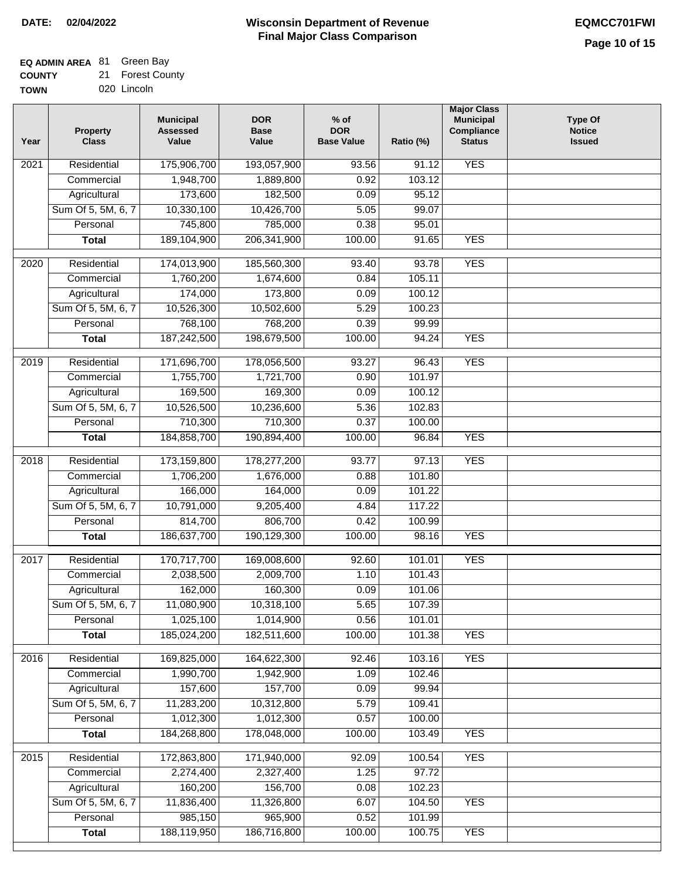## **EQ ADMIN AREA** 81 Green Bay

**COUNTY** 21 Forest County

**TOWN** 020 Lincoln

| Year              | <b>Property</b><br><b>Class</b> | <b>Municipal</b><br><b>Assessed</b><br>Value | <b>DOR</b><br><b>Base</b><br>Value | $%$ of<br><b>DOR</b><br><b>Base Value</b> | Ratio (%)        | <b>Major Class</b><br><b>Municipal</b><br>Compliance<br><b>Status</b> | Type Of<br><b>Notice</b><br><b>Issued</b> |
|-------------------|---------------------------------|----------------------------------------------|------------------------------------|-------------------------------------------|------------------|-----------------------------------------------------------------------|-------------------------------------------|
| $\overline{202}1$ | Residential                     | 175,906,700                                  | 193,057,900                        | 93.56                                     | 91.12            | <b>YES</b>                                                            |                                           |
|                   | Commercial                      | 1,948,700                                    | 1,889,800                          | 0.92                                      | 103.12           |                                                                       |                                           |
|                   | Agricultural                    | 173,600                                      | 182,500                            | 0.09                                      | 95.12            |                                                                       |                                           |
|                   | Sum Of 5, 5M, 6, 7              | 10,330,100                                   | 10,426,700                         | 5.05                                      | 99.07            |                                                                       |                                           |
|                   | Personal                        | 745,800                                      | 785,000                            | 0.38                                      | 95.01            |                                                                       |                                           |
|                   | <b>Total</b>                    | 189,104,900                                  | 206, 341, 900                      | 100.00                                    | 91.65            | <b>YES</b>                                                            |                                           |
| $\overline{2020}$ | Residential                     | 174,013,900                                  | 185,560,300                        | 93.40                                     | 93.78            | <b>YES</b>                                                            |                                           |
|                   | Commercial                      | 1,760,200                                    | 1,674,600                          | 0.84                                      | 105.11           |                                                                       |                                           |
|                   | Agricultural                    | 174,000                                      | 173,800                            | 0.09                                      | 100.12           |                                                                       |                                           |
|                   | Sum Of 5, 5M, 6, 7              | 10,526,300                                   | 10,502,600                         | 5.29                                      | 100.23           |                                                                       |                                           |
|                   | Personal                        | 768,100                                      | 768,200                            | 0.39                                      | 99.99            |                                                                       |                                           |
|                   | <b>Total</b>                    | 187,242,500                                  | 198,679,500                        | 100.00                                    | 94.24            | <b>YES</b>                                                            |                                           |
|                   |                                 |                                              |                                    |                                           |                  |                                                                       |                                           |
| 2019              | Residential                     | 171,696,700                                  | 178,056,500                        | 93.27                                     | 96.43            | <b>YES</b>                                                            |                                           |
|                   | Commercial                      | 1,755,700                                    | 1,721,700                          | 0.90                                      | 101.97           |                                                                       |                                           |
|                   | Agricultural                    | 169,500                                      | 169,300                            | 0.09                                      | 100.12           |                                                                       |                                           |
|                   | Sum Of 5, 5M, 6, 7              | 10,526,500                                   | 10,236,600                         | 5.36                                      | 102.83           |                                                                       |                                           |
|                   | Personal                        | 710,300                                      | 710,300                            | 0.37                                      | 100.00           |                                                                       |                                           |
|                   | <b>Total</b>                    | 184,858,700                                  | 190,894,400                        | 100.00                                    | 96.84            | <b>YES</b>                                                            |                                           |
| 2018              | Residential                     | 173,159,800                                  | 178,277,200                        | 93.77                                     | 97.13            | <b>YES</b>                                                            |                                           |
|                   | Commercial                      | 1,706,200                                    | 1,676,000                          | 0.88                                      | 101.80           |                                                                       |                                           |
|                   | Agricultural                    | 166,000                                      | 164,000                            | 0.09                                      | 101.22           |                                                                       |                                           |
|                   | Sum Of 5, 5M, 6, 7              | 10,791,000                                   | 9,205,400                          | 4.84                                      | 117.22           |                                                                       |                                           |
|                   | Personal                        | 814,700                                      | 806,700                            | 0.42                                      | 100.99           |                                                                       |                                           |
|                   | <b>Total</b>                    | 186,637,700                                  | 190,129,300                        | 100.00                                    | 98.16            | <b>YES</b>                                                            |                                           |
| 2017              | Residential                     | 170,717,700                                  | 169,008,600                        | 92.60                                     | 101.01           | <b>YES</b>                                                            |                                           |
|                   | Commercial                      | 2,038,500                                    | 2,009,700                          | 1.10                                      | 101.43           |                                                                       |                                           |
|                   | Agricultural                    | 162,000                                      | 160,300                            | 0.09                                      | 101.06           |                                                                       |                                           |
|                   | Sum Of 5, 5M, 6, 7              | 11,080,900                                   | 10,318,100                         | 5.65                                      | 107.39           |                                                                       |                                           |
|                   | Personal                        | 1,025,100                                    | 1,014,900                          | 0.56                                      | 101.01           |                                                                       |                                           |
|                   | <b>Total</b>                    | 185,024,200                                  | 182,511,600                        | 100.00                                    | 101.38           | <b>YES</b>                                                            |                                           |
|                   | Residential                     |                                              |                                    |                                           |                  |                                                                       |                                           |
| 2016              | Commercial                      | 169,825,000<br>1,990,700                     | 164,622,300<br>1,942,900           | 92.46<br>1.09                             | 103.16<br>102.46 | <b>YES</b>                                                            |                                           |
|                   | Agricultural                    | 157,600                                      | 157,700                            | 0.09                                      | 99.94            |                                                                       |                                           |
|                   | Sum Of 5, 5M, 6, 7              | 11,283,200                                   | 10,312,800                         | 5.79                                      | 109.41           |                                                                       |                                           |
|                   | Personal                        | 1,012,300                                    | 1,012,300                          | 0.57                                      | 100.00           |                                                                       |                                           |
|                   | <b>Total</b>                    | 184,268,800                                  | 178,048,000                        | 100.00                                    | 103.49           | <b>YES</b>                                                            |                                           |
|                   |                                 |                                              |                                    |                                           |                  |                                                                       |                                           |
| 2015              | Residential                     | 172,863,800                                  | 171,940,000                        | 92.09                                     | 100.54           | <b>YES</b>                                                            |                                           |
|                   | Commercial                      | 2,274,400                                    | 2,327,400                          | 1.25                                      | 97.72            |                                                                       |                                           |
|                   | Agricultural                    | 160,200                                      | 156,700                            | 0.08                                      | 102.23           |                                                                       |                                           |
|                   | Sum Of 5, 5M, 6, 7              | 11,836,400                                   | 11,326,800                         | 6.07                                      | 104.50           | <b>YES</b>                                                            |                                           |
|                   | Personal                        | 985,150                                      | 965,900                            | 0.52                                      | 101.99           |                                                                       |                                           |
|                   | <b>Total</b>                    | 188,119,950                                  | 186,716,800                        | 100.00                                    | 100.75           | <b>YES</b>                                                            |                                           |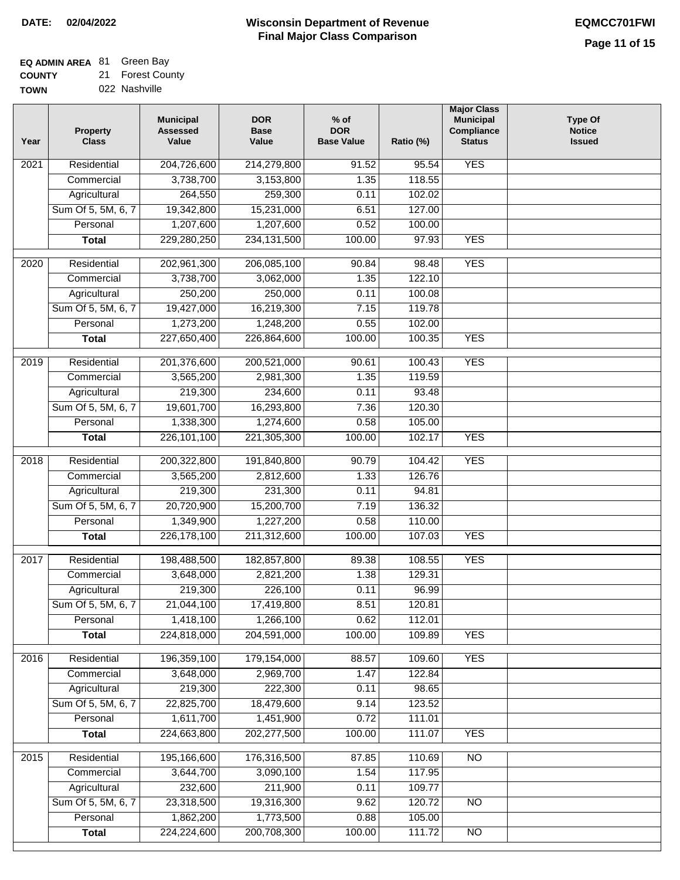## **EQ ADMIN AREA** 81 Green Bay

**COUNTY TOWN** 21 Forest County

| ---- | .             |
|------|---------------|
|      | 022 Nashville |

| Year              | <b>Property</b><br><b>Class</b> | <b>Municipal</b><br><b>Assessed</b><br>Value | <b>DOR</b><br><b>Base</b><br>Value | $%$ of<br><b>DOR</b><br><b>Base Value</b> | Ratio (%) | <b>Major Class</b><br><b>Municipal</b><br>Compliance<br><b>Status</b> | <b>Type Of</b><br><b>Notice</b><br><b>Issued</b> |
|-------------------|---------------------------------|----------------------------------------------|------------------------------------|-------------------------------------------|-----------|-----------------------------------------------------------------------|--------------------------------------------------|
| $\overline{202}1$ | Residential                     | 204,726,600                                  | 214,279,800                        | 91.52                                     | 95.54     | <b>YES</b>                                                            |                                                  |
|                   | Commercial                      | 3,738,700                                    | 3,153,800                          | 1.35                                      | 118.55    |                                                                       |                                                  |
|                   | Agricultural                    | 264,550                                      | 259,300                            | 0.11                                      | 102.02    |                                                                       |                                                  |
|                   | Sum Of 5, 5M, 6, 7              | 19,342,800                                   | 15,231,000                         | 6.51                                      | 127.00    |                                                                       |                                                  |
|                   | Personal                        | 1,207,600                                    | 1,207,600                          | 0.52                                      | 100.00    |                                                                       |                                                  |
|                   | <b>Total</b>                    | 229,280,250                                  | 234, 131, 500                      | 100.00                                    | 97.93     | <b>YES</b>                                                            |                                                  |
| $\overline{2020}$ | Residential                     | 202,961,300                                  | 206,085,100                        | 90.84                                     | 98.48     | <b>YES</b>                                                            |                                                  |
|                   | Commercial                      | 3,738,700                                    | 3,062,000                          | 1.35                                      | 122.10    |                                                                       |                                                  |
|                   | Agricultural                    | 250,200                                      | 250,000                            | 0.11                                      | 100.08    |                                                                       |                                                  |
|                   | Sum Of 5, 5M, 6, 7              | 19,427,000                                   | 16,219,300                         | 7.15                                      | 119.78    |                                                                       |                                                  |
|                   | Personal                        | 1,273,200                                    | 1,248,200                          | 0.55                                      | 102.00    |                                                                       |                                                  |
|                   | <b>Total</b>                    | 227,650,400                                  | 226,864,600                        | 100.00                                    | 100.35    | <b>YES</b>                                                            |                                                  |
| 2019              | Residential                     | 201,376,600                                  | 200,521,000                        | 90.61                                     | 100.43    | <b>YES</b>                                                            |                                                  |
|                   | Commercial                      | 3,565,200                                    | 2,981,300                          | 1.35                                      | 119.59    |                                                                       |                                                  |
|                   | Agricultural                    | 219,300                                      | 234,600                            | 0.11                                      | 93.48     |                                                                       |                                                  |
|                   | Sum Of 5, 5M, 6, 7              | 19,601,700                                   | 16,293,800                         | 7.36                                      | 120.30    |                                                                       |                                                  |
|                   | Personal                        | 1,338,300                                    | 1,274,600                          | 0.58                                      | 105.00    |                                                                       |                                                  |
|                   | <b>Total</b>                    | 226,101,100                                  | 221,305,300                        | 100.00                                    | 102.17    | <b>YES</b>                                                            |                                                  |
|                   |                                 |                                              |                                    |                                           |           |                                                                       |                                                  |
| 2018              | Residential                     | 200,322,800                                  | 191,840,800                        | 90.79                                     | 104.42    | <b>YES</b>                                                            |                                                  |
|                   | Commercial                      | 3,565,200                                    | 2,812,600                          | 1.33                                      | 126.76    |                                                                       |                                                  |
|                   | Agricultural                    | 219,300                                      | 231,300                            | 0.11                                      | 94.81     |                                                                       |                                                  |
|                   | Sum Of 5, 5M, 6, 7              | 20,720,900                                   | 15,200,700                         | 7.19                                      | 136.32    |                                                                       |                                                  |
|                   | Personal                        | 1,349,900                                    | 1,227,200                          | 0.58                                      | 110.00    |                                                                       |                                                  |
|                   | <b>Total</b>                    | 226, 178, 100                                | 211,312,600                        | 100.00                                    | 107.03    | <b>YES</b>                                                            |                                                  |
| $\overline{2017}$ | Residential                     | 198,488,500                                  | 182,857,800                        | 89.38                                     | 108.55    | <b>YES</b>                                                            |                                                  |
|                   | Commercial                      | 3,648,000                                    | 2,821,200                          | 1.38                                      | 129.31    |                                                                       |                                                  |
|                   | Agricultural                    | 219,300                                      | 226,100                            | 0.11                                      | 96.99     |                                                                       |                                                  |
|                   | Sum Of 5, 5M, 6, 7              | 21,044,100                                   | 17,419,800                         | 8.51                                      | 120.81    |                                                                       |                                                  |
|                   | Personal                        | 1,418,100                                    | 1,266,100                          | 0.62                                      | 112.01    |                                                                       |                                                  |
|                   | <b>Total</b>                    | 224,818,000                                  | 204,591,000                        | 100.00                                    | 109.89    | <b>YES</b>                                                            |                                                  |
| 2016              | Residential                     | 196,359,100                                  | 179,154,000                        | 88.57                                     | 109.60    | <b>YES</b>                                                            |                                                  |
|                   | Commercial                      | 3,648,000                                    | 2,969,700                          | 1.47                                      | 122.84    |                                                                       |                                                  |
|                   | Agricultural                    | 219,300                                      | 222,300                            | 0.11                                      | 98.65     |                                                                       |                                                  |
|                   | Sum Of 5, 5M, 6, 7              | 22,825,700                                   | 18,479,600                         | 9.14                                      | 123.52    |                                                                       |                                                  |
|                   | Personal                        | 1,611,700                                    | 1,451,900                          | 0.72                                      | 111.01    |                                                                       |                                                  |
|                   | <b>Total</b>                    | 224,663,800                                  | 202,277,500                        | 100.00                                    | 111.07    | <b>YES</b>                                                            |                                                  |
| 2015              | Residential                     | 195,166,600                                  | 176,316,500                        | 87.85                                     | 110.69    | <b>NO</b>                                                             |                                                  |
|                   | Commercial                      | 3,644,700                                    | 3,090,100                          | 1.54                                      | 117.95    |                                                                       |                                                  |
|                   | Agricultural                    | 232,600                                      | 211,900                            | 0.11                                      | 109.77    |                                                                       |                                                  |
|                   | Sum Of 5, 5M, 6, 7              | 23,318,500                                   | 19,316,300                         | 9.62                                      | 120.72    | <b>NO</b>                                                             |                                                  |
|                   | Personal                        | 1,862,200                                    | 1,773,500                          | 0.88                                      | 105.00    |                                                                       |                                                  |
|                   | <b>Total</b>                    | 224,224,600                                  | 200,708,300                        | 100.00                                    | 111.72    | <b>NO</b>                                                             |                                                  |
|                   |                                 |                                              |                                    |                                           |           |                                                                       |                                                  |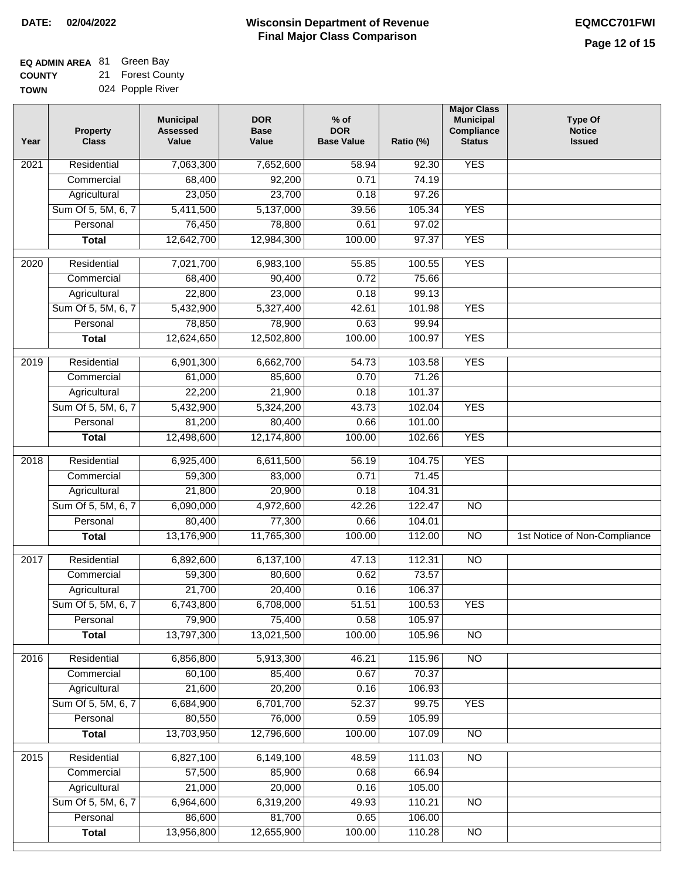## **Wisconsin Department of Revenue DATE: 02/04/2022 EQMCC701FWI Final Major Class Comparison**

| <b>EQ ADMIN AREA 81 Green Bay</b> |    |                      |
|-----------------------------------|----|----------------------|
| <b>COUNTY</b>                     | 21 | <b>Forest County</b> |

**TOWN** 024 Popple River

| Year              | <b>Property</b><br><b>Class</b>    | <b>Municipal</b><br><b>Assessed</b><br>Value | <b>DOR</b><br><b>Base</b><br>Value | $%$ of<br><b>DOR</b><br><b>Base Value</b> | Ratio (%) | <b>Major Class</b><br><b>Municipal</b><br>Compliance<br><b>Status</b> | <b>Type Of</b><br><b>Notice</b><br><b>Issued</b> |
|-------------------|------------------------------------|----------------------------------------------|------------------------------------|-------------------------------------------|-----------|-----------------------------------------------------------------------|--------------------------------------------------|
| 2021              | Residential                        | 7,063,300                                    | 7,652,600                          | 58.94                                     | 92.30     | <b>YES</b>                                                            |                                                  |
|                   | Commercial                         | 68,400                                       | 92,200                             | 0.71                                      | 74.19     |                                                                       |                                                  |
|                   | Agricultural                       | 23,050                                       | 23,700                             | 0.18                                      | 97.26     |                                                                       |                                                  |
|                   | Sum Of 5, 5M, 6, 7                 | 5,411,500                                    | 5,137,000                          | 39.56                                     | 105.34    | <b>YES</b>                                                            |                                                  |
|                   | Personal                           | 76,450                                       | 78,800                             | 0.61                                      | 97.02     |                                                                       |                                                  |
|                   | <b>Total</b>                       | 12,642,700                                   | 12,984,300                         | 100.00                                    | 97.37     | <b>YES</b>                                                            |                                                  |
| $\overline{2020}$ | Residential                        | 7,021,700                                    | 6,983,100                          | 55.85                                     | 100.55    | <b>YES</b>                                                            |                                                  |
|                   | Commercial                         | 68,400                                       | 90,400                             | 0.72                                      | 75.66     |                                                                       |                                                  |
|                   | Agricultural                       | 22,800                                       | 23,000                             | 0.18                                      | 99.13     |                                                                       |                                                  |
|                   | Sum Of 5, 5M, 6, 7                 | 5,432,900                                    | 5,327,400                          | 42.61                                     | 101.98    | <b>YES</b>                                                            |                                                  |
|                   | Personal                           | 78,850                                       | 78,900                             | 0.63                                      | 99.94     |                                                                       |                                                  |
|                   | <b>Total</b>                       | 12,624,650                                   | 12,502,800                         | 100.00                                    | 100.97    | <b>YES</b>                                                            |                                                  |
| $\frac{1}{2019}$  | Residential                        | 6,901,300                                    | 6,662,700                          |                                           | 103.58    | <b>YES</b>                                                            |                                                  |
|                   | Commercial                         | 61,000                                       | 85,600                             | 54.73<br>0.70                             | 71.26     |                                                                       |                                                  |
|                   |                                    | 22,200                                       | 21,900                             | 0.18                                      | 101.37    |                                                                       |                                                  |
|                   | Agricultural<br>Sum Of 5, 5M, 6, 7 | 5,432,900                                    | 5,324,200                          | 43.73                                     | 102.04    | <b>YES</b>                                                            |                                                  |
|                   | Personal                           | 81,200                                       | 80,400                             | 0.66                                      | 101.00    |                                                                       |                                                  |
|                   |                                    | 12,498,600                                   | 12,174,800                         | 100.00                                    | 102.66    | <b>YES</b>                                                            |                                                  |
|                   | <b>Total</b>                       |                                              |                                    |                                           |           |                                                                       |                                                  |
| 2018              | Residential                        | 6,925,400                                    | 6,611,500                          | 56.19                                     | 104.75    | <b>YES</b>                                                            |                                                  |
|                   | Commercial                         | 59,300                                       | 83,000                             | 0.71                                      | 71.45     |                                                                       |                                                  |
|                   | Agricultural                       | 21,800                                       | 20,900                             | 0.18                                      | 104.31    |                                                                       |                                                  |
|                   | Sum Of 5, 5M, 6, 7                 | 6,090,000                                    | 4,972,600                          | 42.26                                     | 122.47    | $\overline{10}$                                                       |                                                  |
|                   | Personal                           | 80,400                                       | 77,300                             | 0.66                                      | 104.01    |                                                                       |                                                  |
|                   | <b>Total</b>                       | 13,176,900                                   | 11,765,300                         | 100.00                                    | 112.00    | <b>NO</b>                                                             | 1st Notice of Non-Compliance                     |
| 2017              | Residential                        | 6,892,600                                    | 6,137,100                          | 47.13                                     | 112.31    | $\overline{NO}$                                                       |                                                  |
|                   | Commercial                         | 59,300                                       | 80,600                             | 0.62                                      | 73.57     |                                                                       |                                                  |
|                   | Agricultural                       | 21,700                                       | 20,400                             | 0.16                                      | 106.37    |                                                                       |                                                  |
|                   | Sum Of 5, 5M, 6, 7                 | 6,743,800                                    | 6,708,000                          | 51.51                                     | 100.53    | <b>YES</b>                                                            |                                                  |
|                   | Personal                           | 79,900                                       | 75,400                             | 0.58                                      | 105.97    |                                                                       |                                                  |
|                   | <b>Total</b>                       | 13,797,300                                   | 13,021,500                         | 100.00                                    | 105.96    | <b>NO</b>                                                             |                                                  |
| 2016              | Residential                        | 6,856,800                                    | 5,913,300                          | 46.21                                     | 115.96    | $\overline{NO}$                                                       |                                                  |
|                   | Commercial                         | 60,100                                       | 85,400                             | 0.67                                      | 70.37     |                                                                       |                                                  |
|                   | Agricultural                       | 21,600                                       | 20,200                             | 0.16                                      | 106.93    |                                                                       |                                                  |
|                   | Sum Of 5, 5M, 6, 7                 | 6,684,900                                    | 6,701,700                          | 52.37                                     | 99.75     | <b>YES</b>                                                            |                                                  |
|                   | Personal                           | 80,550                                       | 76,000                             | 0.59                                      | 105.99    |                                                                       |                                                  |
|                   | <b>Total</b>                       | 13,703,950                                   | 12,796,600                         | 100.00                                    | 107.09    | N <sub>O</sub>                                                        |                                                  |
| 2015              | Residential                        | 6,827,100                                    | 6,149,100                          | 48.59                                     | 111.03    | N <sub>O</sub>                                                        |                                                  |
|                   | Commercial                         | 57,500                                       | 85,900                             | 0.68                                      | 66.94     |                                                                       |                                                  |
|                   | Agricultural                       | 21,000                                       | 20,000                             | 0.16                                      | 105.00    |                                                                       |                                                  |
|                   | Sum Of 5, 5M, 6, 7                 | 6,964,600                                    | 6,319,200                          | 49.93                                     | 110.21    | $\overline{NO}$                                                       |                                                  |
|                   | Personal                           | 86,600                                       | 81,700                             | 0.65                                      | 106.00    |                                                                       |                                                  |
|                   | <b>Total</b>                       | 13,956,800                                   | 12,655,900                         | 100.00                                    | 110.28    | N <sub>O</sub>                                                        |                                                  |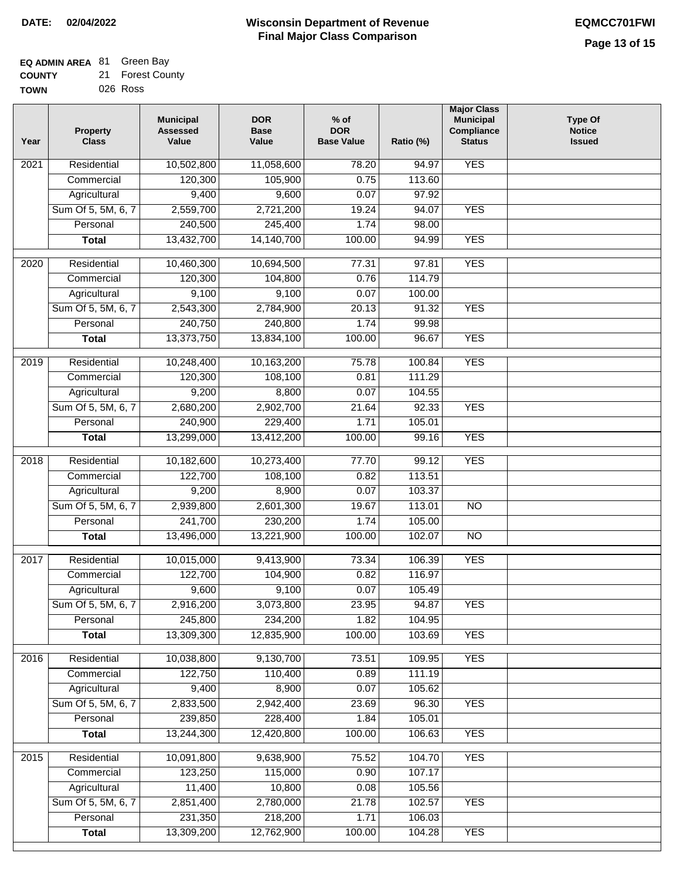## **EQ ADMIN AREA** 81 Green Bay

| <b>COUNTY</b> | 21 Forest County |
|---------------|------------------|
| TOWN          | 026 Ross         |

| Year              | <b>Property</b><br><b>Class</b> | <b>Municipal</b><br><b>Assessed</b><br>Value | <b>DOR</b><br><b>Base</b><br>Value | $%$ of<br><b>DOR</b><br><b>Base Value</b> | Ratio (%) | <b>Major Class</b><br><b>Municipal</b><br>Compliance<br><b>Status</b> | <b>Type Of</b><br><b>Notice</b><br><b>Issued</b> |
|-------------------|---------------------------------|----------------------------------------------|------------------------------------|-------------------------------------------|-----------|-----------------------------------------------------------------------|--------------------------------------------------|
| $\overline{202}1$ | Residential                     | 10,502,800                                   | 11,058,600                         | 78.20                                     | 94.97     | <b>YES</b>                                                            |                                                  |
|                   | Commercial                      | 120,300                                      | 105,900                            | 0.75                                      | 113.60    |                                                                       |                                                  |
|                   | Agricultural                    | 9,400                                        | 9,600                              | 0.07                                      | 97.92     |                                                                       |                                                  |
|                   | Sum Of 5, 5M, 6, 7              | 2,559,700                                    | 2,721,200                          | 19.24                                     | 94.07     | <b>YES</b>                                                            |                                                  |
|                   | Personal                        | 240,500                                      | 245,400                            | 1.74                                      | 98.00     |                                                                       |                                                  |
|                   | <b>Total</b>                    | 13,432,700                                   | 14,140,700                         | 100.00                                    | 94.99     | <b>YES</b>                                                            |                                                  |
| 2020              | Residential                     | 10,460,300                                   | 10,694,500                         | 77.31                                     | 97.81     | <b>YES</b>                                                            |                                                  |
|                   | Commercial                      | 120,300                                      | 104,800                            | 0.76                                      | 114.79    |                                                                       |                                                  |
|                   | Agricultural                    | 9,100                                        | 9,100                              | 0.07                                      | 100.00    |                                                                       |                                                  |
|                   | Sum Of 5, 5M, 6, 7              | 2,543,300                                    | 2,784,900                          | 20.13                                     | 91.32     | <b>YES</b>                                                            |                                                  |
|                   | Personal                        | 240,750                                      | 240,800                            | 1.74                                      | 99.98     |                                                                       |                                                  |
|                   | <b>Total</b>                    | 13,373,750                                   | 13,834,100                         | 100.00                                    | 96.67     | <b>YES</b>                                                            |                                                  |
| 2019              | Residential                     | 10,248,400                                   | 10,163,200                         | 75.78                                     | 100.84    | <b>YES</b>                                                            |                                                  |
|                   | Commercial                      | 120,300                                      | 108,100                            | 0.81                                      | 111.29    |                                                                       |                                                  |
|                   | Agricultural                    | 9,200                                        | 8,800                              | 0.07                                      | 104.55    |                                                                       |                                                  |
|                   | Sum Of 5, 5M, 6, 7              | 2,680,200                                    | 2,902,700                          | 21.64                                     | 92.33     | <b>YES</b>                                                            |                                                  |
|                   | Personal                        | 240,900                                      | 229,400                            | 1.71                                      | 105.01    |                                                                       |                                                  |
|                   | <b>Total</b>                    | 13,299,000                                   | 13,412,200                         | 100.00                                    | 99.16     | <b>YES</b>                                                            |                                                  |
| 2018              | Residential                     | 10,182,600                                   | 10,273,400                         | 77.70                                     | 99.12     | <b>YES</b>                                                            |                                                  |
|                   | Commercial                      | 122,700                                      | 108,100                            | 0.82                                      | 113.51    |                                                                       |                                                  |
|                   | Agricultural                    | 9,200                                        | 8,900                              | 0.07                                      | 103.37    |                                                                       |                                                  |
|                   | Sum Of 5, 5M, 6, 7              | 2,939,800                                    | 2,601,300                          | 19.67                                     | 113.01    | $\overline{3}$                                                        |                                                  |
|                   | Personal                        | 241,700                                      | 230,200                            | 1.74                                      | 105.00    |                                                                       |                                                  |
|                   | <b>Total</b>                    | 13,496,000                                   | 13,221,900                         | 100.00                                    | 102.07    | $\overline{10}$                                                       |                                                  |
| $\overline{2017}$ | Residential                     | 10,015,000                                   | 9,413,900                          | 73.34                                     | 106.39    | <b>YES</b>                                                            |                                                  |
|                   | Commercial                      | 122,700                                      | 104,900                            | 0.82                                      | 116.97    |                                                                       |                                                  |
|                   | Agricultural                    | 9,600                                        | 9,100                              | 0.07                                      | 105.49    |                                                                       |                                                  |
|                   | Sum Of 5, 5M, 6, 7              | 2,916,200                                    | 3,073,800                          | 23.95                                     | 94.87     | <b>YES</b>                                                            |                                                  |
|                   | Personal                        | 245,800                                      | 234,200                            | 1.82                                      | 104.95    |                                                                       |                                                  |
|                   | <b>Total</b>                    | 13,309,300                                   | 12,835,900                         | 100.00                                    | 103.69    | <b>YES</b>                                                            |                                                  |
| 2016              | Residential                     | 10,038,800                                   | 9,130,700                          | 73.51                                     | 109.95    | <b>YES</b>                                                            |                                                  |
|                   | Commercial                      | 122,750                                      | 110,400                            | 0.89                                      | 111.19    |                                                                       |                                                  |
|                   | Agricultural                    | 9,400                                        | 8,900                              | 0.07                                      | 105.62    |                                                                       |                                                  |
|                   | Sum Of 5, 5M, 6, 7              | 2,833,500                                    | 2,942,400                          | 23.69                                     | 96.30     | <b>YES</b>                                                            |                                                  |
|                   | Personal                        | 239,850                                      | 228,400                            | 1.84                                      | 105.01    |                                                                       |                                                  |
|                   | <b>Total</b>                    | 13,244,300                                   | 12,420,800                         | 100.00                                    | 106.63    | <b>YES</b>                                                            |                                                  |
| 2015              | Residential                     | 10,091,800                                   | 9,638,900                          | 75.52                                     | 104.70    | <b>YES</b>                                                            |                                                  |
|                   | Commercial                      | 123,250                                      | 115,000                            | 0.90                                      | 107.17    |                                                                       |                                                  |
|                   | Agricultural                    | 11,400                                       | 10,800                             | 0.08                                      | 105.56    |                                                                       |                                                  |
|                   | Sum Of 5, 5M, 6, 7              | 2,851,400                                    | 2,780,000                          | 21.78                                     | 102.57    | <b>YES</b>                                                            |                                                  |
|                   | Personal                        | 231,350                                      | 218,200                            | 1.71                                      | 106.03    |                                                                       |                                                  |
|                   | <b>Total</b>                    | 13,309,200                                   | 12,762,900                         | 100.00                                    | 104.28    | <b>YES</b>                                                            |                                                  |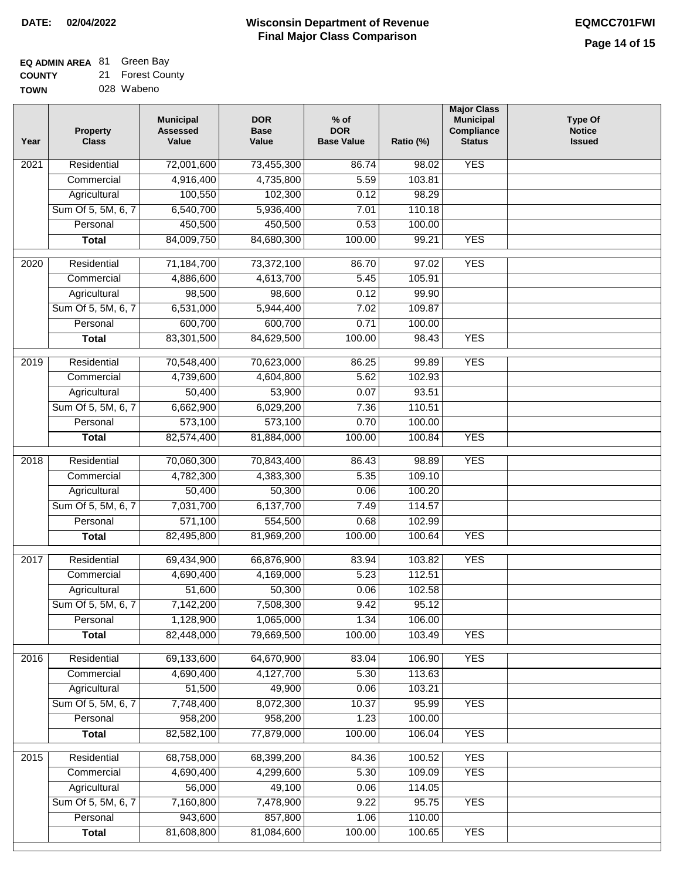# **EQ ADMIN AREA** 81 Green Bay

**COUNTY TOWN** 21 Forest County

|  | י טיש יש   |
|--|------------|
|  | 028 Wabeno |

| Year | <b>Property</b><br><b>Class</b> | <b>Municipal</b><br><b>Assessed</b><br>Value | <b>DOR</b><br><b>Base</b><br>Value | % of<br><b>DOR</b><br><b>Base Value</b> | Ratio (%) | <b>Major Class</b><br><b>Municipal</b><br>Compliance<br><b>Status</b> | <b>Type Of</b><br><b>Notice</b><br><b>Issued</b> |
|------|---------------------------------|----------------------------------------------|------------------------------------|-----------------------------------------|-----------|-----------------------------------------------------------------------|--------------------------------------------------|
| 2021 | Residential                     | 72,001,600                                   | 73,455,300                         | 86.74                                   | 98.02     | <b>YES</b>                                                            |                                                  |
|      | Commercial                      | 4,916,400                                    | 4,735,800                          | 5.59                                    | 103.81    |                                                                       |                                                  |
|      | Agricultural                    | 100,550                                      | 102,300                            | 0.12                                    | 98.29     |                                                                       |                                                  |
|      | Sum Of 5, 5M, 6, 7              | 6,540,700                                    | 5,936,400                          | 7.01                                    | 110.18    |                                                                       |                                                  |
|      | Personal                        | 450,500                                      | 450,500                            | 0.53                                    | 100.00    |                                                                       |                                                  |
|      | <b>Total</b>                    | 84,009,750                                   | 84,680,300                         | 100.00                                  | 99.21     | <b>YES</b>                                                            |                                                  |
| 2020 | Residential                     | 71,184,700                                   | 73,372,100                         | 86.70                                   | 97.02     | <b>YES</b>                                                            |                                                  |
|      | Commercial                      | 4,886,600                                    | 4,613,700                          | 5.45                                    | 105.91    |                                                                       |                                                  |
|      | Agricultural                    | 98,500                                       | 98,600                             | 0.12                                    | 99.90     |                                                                       |                                                  |
|      | Sum Of 5, 5M, 6, 7              | 6,531,000                                    | 5,944,400                          | 7.02                                    | 109.87    |                                                                       |                                                  |
|      | Personal                        | 600,700                                      | 600,700                            | 0.71                                    | 100.00    |                                                                       |                                                  |
|      | <b>Total</b>                    | 83,301,500                                   | 84,629,500                         | 100.00                                  | 98.43     | <b>YES</b>                                                            |                                                  |
| 2019 | Residential                     | 70,548,400                                   | 70,623,000                         | 86.25                                   | 99.89     | <b>YES</b>                                                            |                                                  |
|      | Commercial                      | 4,739,600                                    | 4,604,800                          | 5.62                                    | 102.93    |                                                                       |                                                  |
|      | Agricultural                    | 50,400                                       | 53,900                             | 0.07                                    | 93.51     |                                                                       |                                                  |
|      | Sum Of 5, 5M, 6, 7              | 6,662,900                                    | 6,029,200                          | 7.36                                    | 110.51    |                                                                       |                                                  |
|      | Personal                        | 573,100                                      | 573,100                            | 0.70                                    | 100.00    |                                                                       |                                                  |
|      | <b>Total</b>                    | 82,574,400                                   | 81,884,000                         | 100.00                                  | 100.84    | <b>YES</b>                                                            |                                                  |
| 2018 | Residential                     | 70,060,300                                   | 70,843,400                         | 86.43                                   | 98.89     | <b>YES</b>                                                            |                                                  |
|      | Commercial                      | 4,782,300                                    | 4,383,300                          | 5.35                                    | 109.10    |                                                                       |                                                  |
|      | Agricultural                    | 50,400                                       | 50,300                             | 0.06                                    | 100.20    |                                                                       |                                                  |
|      | Sum Of 5, 5M, 6, 7              | 7,031,700                                    | 6,137,700                          | 7.49                                    | 114.57    |                                                                       |                                                  |
|      | Personal                        | 571,100                                      | 554,500                            | 0.68                                    | 102.99    |                                                                       |                                                  |
|      | <b>Total</b>                    | 82,495,800                                   | 81,969,200                         | 100.00                                  | 100.64    | <b>YES</b>                                                            |                                                  |
| 2017 | Residential                     | 69,434,900                                   | 66,876,900                         | 83.94                                   | 103.82    | <b>YES</b>                                                            |                                                  |
|      | Commercial                      | 4,690,400                                    | 4,169,000                          | 5.23                                    | 112.51    |                                                                       |                                                  |
|      | Agricultural                    | 51,600                                       | 50,300                             | 0.06                                    | 102.58    |                                                                       |                                                  |
|      | Sum Of 5, 5M, 6, 7              | 7,142,200                                    | 7,508,300                          | 9.42                                    | 95.12     |                                                                       |                                                  |
|      | Personal                        | 1,128,900                                    | 1,065,000                          | 1.34                                    | 106.00    |                                                                       |                                                  |
|      | <b>Total</b>                    | 82,448,000                                   | 79,669,500                         | 100.00                                  | 103.49    | <b>YES</b>                                                            |                                                  |
| 2016 | Residential                     | 69,133,600                                   | 64,670,900                         | 83.04                                   | 106.90    | <b>YES</b>                                                            |                                                  |
|      | Commercial                      | 4,690,400                                    | 4,127,700                          | 5.30                                    | 113.63    |                                                                       |                                                  |
|      | Agricultural                    | 51,500                                       | 49,900                             | 0.06                                    | 103.21    |                                                                       |                                                  |
|      | Sum Of 5, 5M, 6, 7              | 7,748,400                                    | 8,072,300                          | 10.37                                   | 95.99     | <b>YES</b>                                                            |                                                  |
|      | Personal                        | 958,200                                      | 958,200                            | 1.23                                    | 100.00    |                                                                       |                                                  |
|      | <b>Total</b>                    | 82,582,100                                   | 77,879,000                         | 100.00                                  | 106.04    | <b>YES</b>                                                            |                                                  |
| 2015 | Residential                     | 68,758,000                                   | 68,399,200                         | 84.36                                   | 100.52    | <b>YES</b>                                                            |                                                  |
|      | Commercial                      | 4,690,400                                    | 4,299,600                          | 5.30                                    | 109.09    | <b>YES</b>                                                            |                                                  |
|      | Agricultural                    | 56,000                                       | 49,100                             | 0.06                                    | 114.05    |                                                                       |                                                  |
|      | Sum Of 5, 5M, 6, 7              | 7,160,800                                    | 7,478,900                          | 9.22                                    | 95.75     | <b>YES</b>                                                            |                                                  |
|      | Personal                        | 943,600                                      | 857,800                            | 1.06                                    | 110.00    |                                                                       |                                                  |
|      | <b>Total</b>                    | 81,608,800                                   | 81,084,600                         | 100.00                                  | 100.65    | <b>YES</b>                                                            |                                                  |
|      |                                 |                                              |                                    |                                         |           |                                                                       |                                                  |